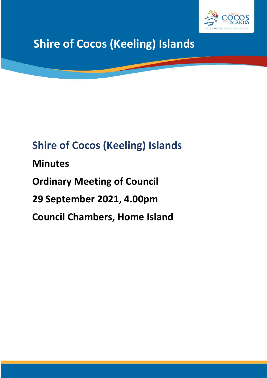

# **Shire of Cocos (Keeling) Islands**

# **Shire of Cocos (Keeling) Islands Minutes Ordinary Meeting of Council 29 September 2021, 4.00pm Council Chambers, Home Island**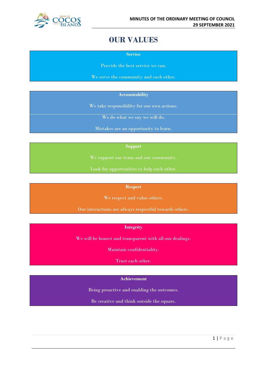

# **OUR VALUES**

**Service**

Provide the best service we can.

We serve the community and each other.

**Accountability**

We take responsibility for our own actions.

We do what we say we will do.

Mistakes are an opportunity to learn.

#### **Support**

We support our team and our community.

Look for opportunities to help each other.

#### **Respect**

We respect and value others.

Our interactions are always respectful towards others.

#### **Integrity**

We will be honest and transparent with all our dealings.

Maintain confidentiality.

Trust each other.

#### **Achievement**

Being proactive and enabling the outcomes.

Be creative and think outside the square.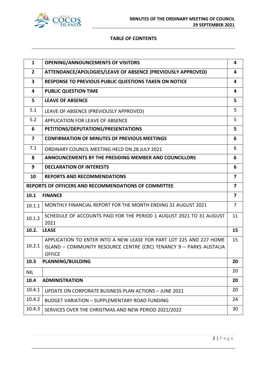

#### **TABLE OF CONTENTS**

| $\mathbf{1}$            | <b>OPENING/ANNOUNCEMENTS OF VISITORS</b>                                                                                                                    | 4                       |
|-------------------------|-------------------------------------------------------------------------------------------------------------------------------------------------------------|-------------------------|
| $\overline{2}$          | ATTENDANCE/APOLOGIES/LEAVE OF ABSENCE (PREVIOUSLY APPROVED)                                                                                                 | 4                       |
| 3                       | RESPONSE TO PREVIOUS PUBLIC QUESTIONS TAKEN ON NOTICE                                                                                                       | 4                       |
| 4                       | <b>PUBLIC QUESTION TIME</b>                                                                                                                                 | 4                       |
| 5                       | <b>LEAVE OF ABSENCE</b>                                                                                                                                     | 5                       |
| 5.1                     | LEAVE OF ABSENCE (PREVIOUSLY APPROVED)                                                                                                                      | 5                       |
| 5.2                     | <b>APPLICATION FOR LEAVE OF ABSENCE</b>                                                                                                                     | 5                       |
| 6                       | PETITIONS/DEPUTATIONS/PRESENTATIONS                                                                                                                         | 5                       |
| $\overline{\mathbf{z}}$ | <b>CONFIRMATION OF MINUTES OF PREVIOUS MEETINGS</b>                                                                                                         | 6                       |
| 7.1                     | ORDINARY COUNCIL MEETING HELD ON 28 JULY 2021                                                                                                               | 6                       |
| 8                       | ANNOUNCEMENTS BY THE PRESIDING MEMBER AND COUNCILLORS                                                                                                       | 6                       |
| 9                       | <b>DECLARATION OF INTERESTS</b>                                                                                                                             | 6                       |
| 10                      | <b>REPORTS AND RECOMMENDATIONS</b>                                                                                                                          | 7                       |
|                         | <b>REPORTS OF OFFICERS AND RECOMMENDATIONS OF COMMITTEE</b>                                                                                                 | $\overline{\mathbf{z}}$ |
| 10.1                    | <b>FINANCE</b>                                                                                                                                              | $\overline{7}$          |
| 10.1.1                  | MONTHLY FINANCIAL REPORT FOR THE MONTH ENDING 31 AUGUST 2021                                                                                                | $\overline{7}$          |
| 10.1.2                  | SCHEDULE OF ACCOUNTS PAID FOR THE PERIOD 1 AUGUST 2021 TO 31 AUGUST<br>2021                                                                                 | 11                      |
| 10.2.                   | <b>LEASE</b>                                                                                                                                                | 15                      |
| 10.2.1                  | APPLICATION TO ENTER INTO A NEW LEASE FOR PART LOT 225 AND 227 HOME<br>ISLAND - COMMUNITY RESOURCE CENTRE (CRC) TENANCY 9 - PARKS AUSTALIA<br><b>OFFICE</b> | 15                      |
| 10.3                    | <b>PLANNING/BUILDING</b>                                                                                                                                    | 20                      |
| <b>NIL</b>              |                                                                                                                                                             | 20                      |
| 10.4                    | <b>ADMINISTRATION</b>                                                                                                                                       | 20                      |
| 10.4.1                  | UPDATE ON CORPORATE BUSINESS PLAN ACTIONS - JUNE 2021                                                                                                       | 20                      |
| 10.4.2                  | <b>BUDGET VARIATION - SUPPLEMENTARY ROAD FUNDING</b>                                                                                                        | 24                      |
| 10.4.3                  | SERVICES OVER THE CHRISTMAS AND NEW PERIOD 2021/2022                                                                                                        | 30                      |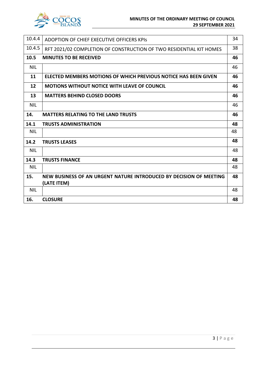

| 10.4.4     | ADOPTION OF CHIEF EXECUTIVE OFFICERS KPIS                           | 34 |
|------------|---------------------------------------------------------------------|----|
| 10.4.5     | RFT 2021/02 COMPLETION OF CONSTRUCTION OF TWO RESIDENTIAL KIT HOMES | 38 |
| 10.5       | <b>MINUTES TO BE RECEIVED</b>                                       | 46 |
| <b>NIL</b> |                                                                     | 46 |
| 11         | ELECTED MEMBERS MOTIONS OF WHICH PREVIOUS NOTICE HAS BEEN GIVEN     | 46 |
| 12         | <b>MOTIONS WITHOUT NOTICE WITH LEAVE OF COUNCIL</b>                 | 46 |
| 13         | <b>MATTERS BEHIND CLOSED DOORS</b>                                  | 46 |
| <b>NIL</b> |                                                                     | 46 |
| 14.        | <b>MATTERS RELATING TO THE LAND TRUSTS</b>                          | 46 |
| 14.1       | <b>TRUSTS ADMINISTRATION</b>                                        | 48 |
| <b>NIL</b> |                                                                     | 48 |
| 14.2       | <b>TRUSTS LEASES</b>                                                | 48 |
| <b>NIL</b> |                                                                     | 48 |
| 14.3       | <b>TRUSTS FINANCE</b>                                               | 48 |
| <b>NIL</b> |                                                                     | 48 |
| 15.        | NEW BUSINESS OF AN URGENT NATURE INTRODUCED BY DECISION OF MEETING  | 48 |
|            | (LATE ITEM)                                                         |    |
| <b>NIL</b> |                                                                     | 48 |
| 16.        | <b>CLOSURE</b>                                                      | 48 |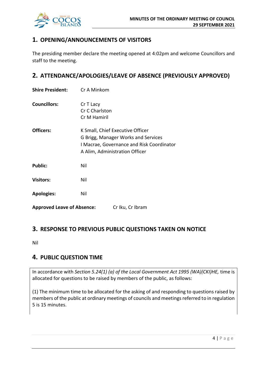

# **1. OPENING/ANNOUNCEMENTS OF VISITORS**

The presiding member declare the meeting opened at 4:02pm and welcome Councillors and staff to the meeting.

# **2. ATTENDANCE/APOLOGIES/LEAVE OF ABSENCE (PREVIOUSLY APPROVED)**

| <b>Shire President:</b>           | Cr A Minkom                                                                                                                                            |                  |
|-----------------------------------|--------------------------------------------------------------------------------------------------------------------------------------------------------|------------------|
| <b>Councillors:</b>               | Cr T Lacy<br>Cr C Charlston<br>Cr M Hamiril                                                                                                            |                  |
| Officers:                         | K Small, Chief Executive Officer<br>G Brigg, Manager Works and Services<br>I Macrae, Governance and Risk Coordinator<br>A Alim, Administration Officer |                  |
| <b>Public:</b>                    | Nil                                                                                                                                                    |                  |
| <b>Visitors:</b>                  | Nil                                                                                                                                                    |                  |
| <b>Apologies:</b>                 | Nil                                                                                                                                                    |                  |
| <b>Approved Leave of Absence:</b> |                                                                                                                                                        | Cr Iku, Cr Ibram |

# **3. RESPONSE TO PREVIOUS PUBLIC QUESTIONS TAKEN ON NOTICE**

Nil

# **4. PUBLIC QUESTION TIME**

In accordance with *Section 5.24(1) (a) of the Local Government Act 1995 (WA)(CKI)HE,* time is allocated for questions to be raised by members of the public, as follows:

(1) The minimum time to be allocated for the asking of and responding to questions raised by members of the public at ordinary meetings of councils and meetings referred to in regulation 5 is 15 minutes.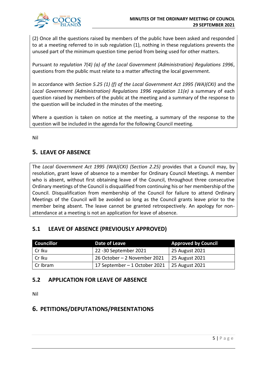(2) Once all the questions raised by members of the public have been asked and responded to at a meeting referred to in sub regulation (1), nothing in these regulations prevents the unused part of the minimum question time period from being used for other matters.

Pursuant *to regulation 7(4) (a) of the Local Government (Administration) Regulations 1996*, questions from the public must relate to a matter affecting the local government.

In accordance with *Section 5.25 (1) (f) of the Local Government Act 1995 (WA)(CKI)* and the *Local Government (Administration) Regulations 1996 regulation 11(e)* a summary of each question raised by members of the public at the meeting and a summary of the response to the question will be included in the minutes of the meeting.

Where a question is taken on notice at the meeting, a summary of the response to the question will be included in the agenda for the following Council meeting.

Nil

# **5. LEAVE OF ABSENCE**

The *Local Government Act 1995 (WA)(CKI) (Section 2.25)* provides that a Council may, by resolution, grant leave of absence to a member for Ordinary Council Meetings. A member who is absent, without first obtaining leave of the Council, throughout three consecutive Ordinary meetings of the Council is disqualified from continuing his or her membership of the Council. Disqualification from membership of the Council for failure to attend Ordinary Meetings of the Council will be avoided so long as the Council grants leave prior to the member being absent. The leave cannot be granted retrospectively. An apology for nonattendance at a meeting is not an application for leave of absence.

# **5.1 LEAVE OF ABSENCE (PREVIOUSLY APPROVED)**

| <b>Councillor</b> | Date of Leave                                  | <b>Approved by Council</b> |
|-------------------|------------------------------------------------|----------------------------|
| Cr Iku            | 22 -30 September 2021                          | 25 August 2021             |
| l Cr Iku          | 26 October - 2 November 2021                   | 25 August 2021             |
| Cr Ibram          | 17 September – 1 October 2021   25 August 2021 |                            |

# **5.2 APPLICATION FOR LEAVE OF ABSENCE**

Nil

# **6. PETITIONS/DEPUTATIONS/PRESENTATIONS**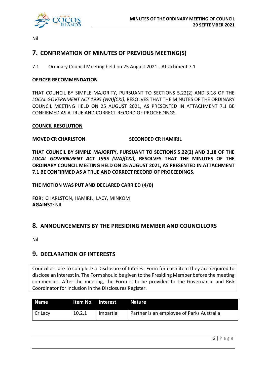

Nil

# **7. CONFIRMATION OF MINUTES OF PREVIOUS MEETING(S)**

7.1 Ordinary Council Meeting held on 25 August 2021 - Attachment 7.1

#### **OFFICER RECOMMENDATION**

THAT COUNCIL BY SIMPLE MAJORITY, PURSUANT TO SECTIONS 5.22(2) AND 3.18 OF THE *LOCAL GOVERNMENT ACT 1995 (WA)(CKI),* RESOLVES THAT THE MINUTES OF THE ORDINARY COUNCIL MEETING HELD ON 25 AUGUST 2021, AS PRESENTED IN ATTACHMENT 7.1 BE CONFIRMED AS A TRUE AND CORRECT RECORD OF PROCEEDINGS.

#### **COUNCIL RESOLUTION**

#### **MOVED CR CHARLSTON SECONDED CR HAMIRIL**

**THAT COUNCIL BY SIMPLE MAJORITY, PURSUANT TO SECTIONS 5.22(2) AND 3.18 OF THE** *LOCAL GOVERNMENT ACT 1995 (WA)(CKI),* **RESOLVES THAT THE MINUTES OF THE ORDINARY COUNCIL MEETING HELD ON 25 AUGUST 2021, AS PRESENTED IN ATTACHMENT 7.1 BE CONFIRMED AS A TRUE AND CORRECT RECORD OF PROCEEDINGS.**

**THE MOTION WAS PUT AND DECLARED CARRIED (4/0)**

**FOR:** CHARLSTON, HAMIRIL, LACY, MINKOM **AGAINST:** NIL

# **8. ANNOUNCEMENTS BY THE PRESIDING MEMBER AND COUNCILLORS**

Nil

# **9. DECLARATION OF INTERESTS**

Councillors are to complete a Disclosure of Interest Form for each item they are required to disclose an interest in. The Form should be given to the Presiding Member before the meeting commences. After the meeting, the Form is to be provided to the Governance and Risk Coordinator for inclusion in the Disclosures Register.

| <b>Name</b> | ltem No. Interest |           | <b>Nature</b>                             |
|-------------|-------------------|-----------|-------------------------------------------|
| Cr Lacy     | 10.2.1            | Impartial | Partner is an employee of Parks Australia |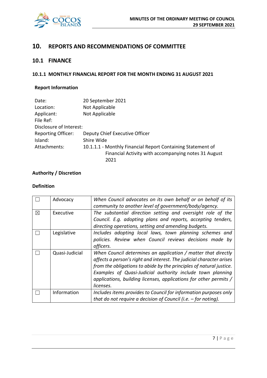

# **10. REPORTS AND RECOMMENDATIONS OF COMMITTEE**

# **10.1 FINANCE**

#### **10.1.1 MONTHLY FINANCIAL REPORT FOR THE MONTH ENDING 31 AUGUST 2021**

### **Report Information**

| Date:                     | 20 September 2021                                           |
|---------------------------|-------------------------------------------------------------|
| Location:                 | Not Applicable                                              |
| Applicant:                | Not Applicable                                              |
| File Ref:                 |                                                             |
| Disclosure of Interest:   |                                                             |
| <b>Reporting Officer:</b> | Deputy Chief Executive Officer                              |
| Island:                   | Shire Wide                                                  |
| Attachments:              | 10.1.1.1 - Monthly Financial Report Containing Statement of |
|                           | Financial Activity with accompanying notes 31 August        |
|                           | 2021                                                        |

#### **Authority / Discretion**

#### **Definition**

|             | Advocacy       | When Council advocates on its own behalf or on behalf of its<br>community to another level of government/body/agency.                                                                                                                                                                                                                                        |
|-------------|----------------|--------------------------------------------------------------------------------------------------------------------------------------------------------------------------------------------------------------------------------------------------------------------------------------------------------------------------------------------------------------|
| $\boxtimes$ | Executive      | The substantial direction setting and oversight role of the<br>Council. E.g. adopting plans and reports, accepting tenders,<br>directing operations, setting and amending budgets.                                                                                                                                                                           |
|             | Legislative    | Includes adopting local laws, town planning schemes and<br>policies. Review when Council reviews decisions made by<br>officers.                                                                                                                                                                                                                              |
|             | Quasi-Judicial | When Council determines an application / matter that directly<br>affects a person's right and interest. The judicial character arises<br>from the obligations to abide by the principles of natural justice.<br>Examples of Quasi-Judicial authority include town planning<br>applications, building licenses, applications for other permits /<br>licenses. |
|             | Information    | Includes items provides to Council for information purposes only<br>that do not require a decision of Council (i.e. $-$ for noting).                                                                                                                                                                                                                         |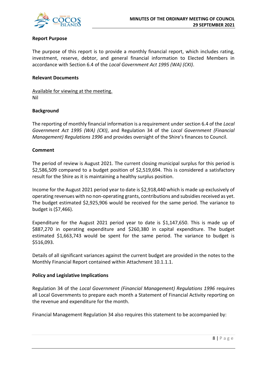

#### **Report Purpose**

The purpose of this report is to provide a monthly financial report, which includes rating, investment, reserve, debtor, and general financial information to Elected Members in accordance with Section 6.4 of the *Local Government Act 1995 (WA) (CKI)*.

#### **Relevant Documents**

Available for viewing at the meeting. Nil

#### **Background**

The reporting of monthly financial information is a requirement under section 6.4 of the *Local Government Act 1995 (WA) (CKI)*, and Regulation 34 of the *Local Government (Financial Management) Regulations 1996* and provides oversight of the Shire's finances to Council.

#### **Comment**

The period of review is August 2021. The current closing municipal surplus for this period is \$2,586,509 compared to a budget position of \$2,519,694. This is considered a satisfactory result for the Shire as it is maintaining a healthy surplus position.

Income for the August 2021 period year to date is \$2,918,440 which is made up exclusively of operating revenues with no non-operating grants, contributions and subsidies received as yet. The budget estimated \$2,925,906 would be received for the same period. The variance to budget is (\$7,466).

Expenditure for the August 2021 period year to date is \$1,147,650. This is made up of \$887,270 in operating expenditure and \$260,380 in capital expenditure. The budget estimated \$1,663,743 would be spent for the same period. The variance to budget is \$516,093.

Details of all significant variances against the current budget are provided in the notes to the Monthly Financial Report contained within Attachment 10.1.1.1.

#### **Policy and Legislative Implications**

Regulation 34 of the *Local Government (Financial Management) Regulations 1996* requires all Local Governments to prepare each month a Statement of Financial Activity reporting on the revenue and expenditure for the month.

Financial Management Regulation 34 also requires this statement to be accompanied by: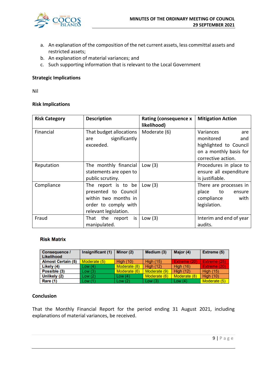

- a. An explanation of the composition of the net current assets, less committal assets and restricted assets;
- b. An explanation of material variances; and
- c. Such supporting information that is relevant to the Local Government

#### **Strategic Implications**

Nil

#### **Risk Implications**

| <b>Risk Category</b> | <b>Description</b>                                                                                                   | <b>Rating (consequence x</b><br>likelihood) | <b>Mitigation Action</b>                                                                                       |
|----------------------|----------------------------------------------------------------------------------------------------------------------|---------------------------------------------|----------------------------------------------------------------------------------------------------------------|
| Financial            | That budget allocations<br>significantly<br>are<br>exceeded.                                                         | Moderate (6)                                | Variances<br>are<br>monitored<br>and<br>highlighted to Council<br>on a monthly basis for<br>corrective action. |
| Reputation           | The monthly financial<br>statements are open to<br>public scrutiny.                                                  | Low $(3)$                                   | Procedures in place to<br>ensure all expenditure<br>is justifiable.                                            |
| Compliance           | The report is to be<br>presented to Council<br>within two months in<br>order to comply with<br>relevant legislation. | Low $(3)$                                   | There are processes in<br>place<br>to<br>ensure<br>with<br>compliance<br>legislation.                          |
| Fraud                | That the report is<br>manipulated.                                                                                   | Low $(3)$                                   | Interim and end of year<br>audits.                                                                             |

#### **Risk Matrix**

| Consequence /<br><b>Likelihood</b> | Insignificant (1) | Minor (2)        | Medium (3)       | Major (4)        | Extreme (5)      |
|------------------------------------|-------------------|------------------|------------------|------------------|------------------|
| <b>Almost Certain (5)</b>          | Moderate (5)      | <b>High (10)</b> | <b>High (15)</b> | Extreme (20)     | Extreme (25)     |
| Likely (4)                         | Low (4)           | Moderate (8)     | <b>High (12)</b> | <b>High (16)</b> | Extreme (20)     |
| Possible (3)                       | Low (3)           | Moderate (6)     | Moderate (9)     | <b>High (12)</b> | <b>High (15)</b> |
| Unlikely (2)                       | Low (2)           | Low $(4)$        | Moderate (6)     | Moderate (8)     | High $(10)$      |
| Rare (1)                           | Low (1)           | Low $(2)$        | Low $(3)$        | Low $(4)$        | Moderate (5)     |

#### **Conclusion**

That the Monthly Financial Report for the period ending 31 August 2021, including explanations of material variances, be received.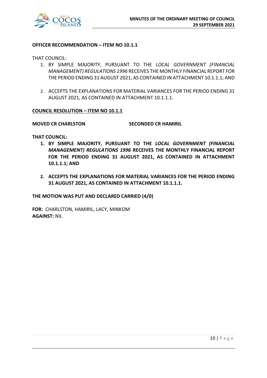

#### **OFFICER RECOMMENDATION – ITEM NO 10.1.1**

THAT COUNCIL:

- 1. BY SIMPLE MAJORITY, PURSUANT TO THE *LOCAL GOVERNMENT (FINANCIAL MANAGEMENT) REGULATIONS 1996* RECEIVES THE MONTHLY FINANCIAL REPORT FOR THE PERIOD ENDING 31 AUGUST 2021, AS CONTAINED IN ATTACHMENT 10.1.1.1; AND
- 2. ACCEPTS THE EXPLANATIONS FOR MATERIAL VARIANCES FOR THE PERIOD ENDING 31 AUGUST 2021, AS CONTAINED IN ATTACHMENT 10.1.1.1.

#### **COUNCIL RESOLUTION – ITEM NO 10.1.1**

**MOVED CR CHARLSTON SECONDED CR HAMIRIL**

**THAT COUNCIL:**

- **1. BY SIMPLE MAJORITY, PURSUANT TO THE** *LOCAL GOVERNMENT (FINANCIAL MANAGEMENT) REGULATIONS 1996* **RECEIVES THE MONTHLY FINANCIAL REPORT FOR THE PERIOD ENDING 31 AUGUST 2021, AS CONTAINED IN ATTACHMENT 10.1.1.1; AND**
- **2. ACCEPTS THE EXPLANATIONS FOR MATERIAL VARIANCES FOR THE PERIOD ENDING 31 AUGUST 2021, AS CONTAINED IN ATTACHMENT 10.1.1.1.**

**THE MOTION WAS PUT AND DECLARED CARRIED (4/0)**

**FOR:** CHARLSTON, HAMIRIL, LACY, MINKOM **AGAINST:** NIL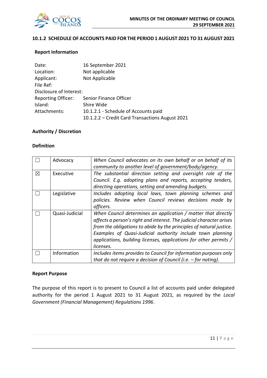

#### **10.1.2 SCHEDULE OF ACCOUNTS PAID FOR THE PERIOD 1 AUGUST 2021 TO 31 AUGUST 2021**

#### **Report Information**

| Date:                     | 16 September 2021                               |
|---------------------------|-------------------------------------------------|
| Location:                 | Not applicable                                  |
| Applicant:                | Not Applicable                                  |
| File Ref:                 |                                                 |
| Disclosure of Interest:   |                                                 |
| <b>Reporting Officer:</b> | Senior Finance Officer                          |
| Island:                   | Shire Wide                                      |
| Attachments:              | 10.1.2.1 - Schedule of Accounts paid            |
|                           | 10.1.2.2 - Credit Card Transactions August 2021 |

#### **Authority / Discretion**

#### **Definition**

|   | Advocacy       | When Council advocates on its own behalf or on behalf of its<br>community to another level of government/body/agency.                                                                                                                                                                                                                                        |
|---|----------------|--------------------------------------------------------------------------------------------------------------------------------------------------------------------------------------------------------------------------------------------------------------------------------------------------------------------------------------------------------------|
| X | Executive      | The substantial direction setting and oversight role of the<br>Council. E.g. adopting plans and reports, accepting tenders,<br>directing operations, setting and amending budgets.                                                                                                                                                                           |
|   | Legislative    | Includes adopting local laws, town planning schemes and<br>policies. Review when Council reviews decisions made by<br>officers.                                                                                                                                                                                                                              |
|   | Quasi-Judicial | When Council determines an application / matter that directly<br>affects a person's right and interest. The judicial character arises<br>from the obligations to abide by the principles of natural justice.<br>Examples of Quasi-Judicial authority include town planning<br>applications, building licenses, applications for other permits /<br>licenses. |
|   | Information    | Includes items provides to Council for information purposes only<br>that do not require a decision of Council (i.e. $-$ for noting).                                                                                                                                                                                                                         |

#### **Report Purpose**

The purpose of this report is to present to Council a list of accounts paid under delegated authority for the period 1 August 2021 to 31 August 2021, as required by the *Local Government (Financial Management) Regulations 1996*.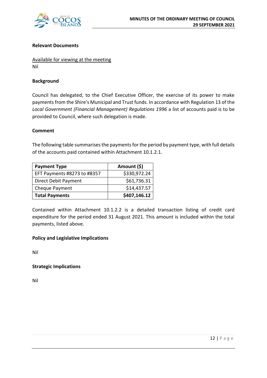

#### **Relevant Documents**

Available for viewing at the meeting Nil

#### **Background**

Council has delegated, to the Chief Executive Officer, the exercise of its power to make payments from the Shire's Municipal and Trust funds. In accordance with Regulation 13 of the *Local Government (Financial Management) Regulations 1996* a list of accounts paid is to be provided to Council, where such delegation is made.

#### **Comment**

The following table summarises the payments for the period by payment type, with full details of the accounts paid contained within Attachment 10.1.2.1.

| <b>Payment Type</b>         | Amount (\$)  |
|-----------------------------|--------------|
| EFT Payments #8273 to #8357 | \$330,972.24 |
| Direct Debit Payment        | \$61,736.31  |
| Cheque Payment              | \$14,437.57  |
| <b>Total Payments</b>       | \$407,146.12 |

Contained within Attachment 10.1.2.2 is a detailed transaction listing of credit card expenditure for the period ended 31 August 2021. This amount is included within the total payments, listed above.

#### **Policy and Legislative Implications**

Nil

**Strategic Implications**

Nil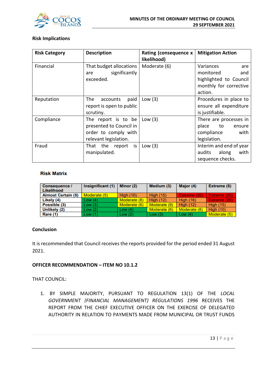

#### **Risk Implications**

| <b>Risk Category</b> | <b>Description</b>                                                                              | Rating (consequence x<br>likelihood) | <b>Mitigation Action</b>                                                                 |
|----------------------|-------------------------------------------------------------------------------------------------|--------------------------------------|------------------------------------------------------------------------------------------|
| Financial            | That budget allocations<br>significantly<br>are<br>exceeded.                                    | Moderate (6)                         | Variances<br>are<br>monitored<br>and<br>highlighted to Council<br>monthly for corrective |
|                      |                                                                                                 |                                      | action.                                                                                  |
| Reputation           | The<br>paid<br>accounts<br>report is open to public<br>scrutiny.                                | Low $(3)$                            | Procedures in place to<br>ensure all expenditure<br>is justifiable.                      |
| Compliance           | The report is to be<br>presented to Council in<br>order to comply with<br>relevant legislation. | Low $(3)$                            | There are processes in<br>place<br>to<br>ensure<br>with<br>compliance<br>legislation.    |
| Fraud                | That the report is<br>manipulated.                                                              | Low $(3)$                            | Interim and end of year<br>with<br>audits<br>along<br>sequence checks.                   |

#### **Risk Matrix**

| <b>Consequence /</b><br>Likelihood | Insignificant (1) | Minor $(2)$      | Medium (3)       | Major (4)        | Extreme (5)      |
|------------------------------------|-------------------|------------------|------------------|------------------|------------------|
| <b>Almost Certain (5)</b>          | Moderate (5)      | <b>High (10)</b> | <b>High (15)</b> | Extreme (20)     | Extreme (25)     |
| Likely (4)                         | Low(4)            | Moderate (8)     | <b>High (12)</b> | <b>High (16)</b> | Extreme (20)     |
| Possible (3)                       | Low(3)            | Moderate (6)     | Moderate (9)     | <b>High (12)</b> | <b>High (15)</b> |
| Unlikely (2)                       | Low(2)            | Low $(4)$        | Moderate (6)     | Moderate (8)     | <b>High (10)</b> |
| <b>Rare (1)</b>                    | Low(1)            | Low(2)           | Low(3)           | Low $(4)$        | Moderate (5)     |

#### **Conclusion**

It is recommended that Council receives the reports provided for the period ended 31 August 2021.

#### **OFFICER RECOMMENDATION – ITEM NO 10.1.2**

THAT COUNCIL:

1. BY SIMPLE MAJORITY, PURSUANT TO REGULATION 13(1) OF THE *LOCAL GOVERNMENT (FINANCIAL MANAGEMENT) REGULATIONS 1996* RECEIVES THE REPORT FROM THE CHIEF EXECUTIVE OFFICER ON THE EXERCISE OF DELEGATED AUTHORITY IN RELATION TO PAYMENTS MADE FROM MUNICIPAL OR TRUST FUNDS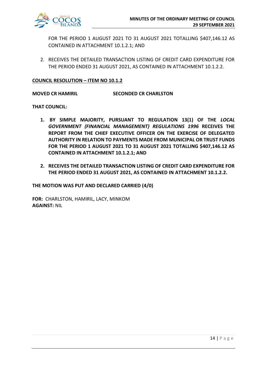

FOR THE PERIOD 1 AUGUST 2021 TO 31 AUGUST 2021 TOTALLING \$407,146.12 AS CONTAINED IN ATTACHMENT 10.1.2.1; AND

2. RECEIVES THE DETAILED TRANSACTION LISTING OF CREDIT CARD EXPENDITURE FOR THE PERIOD ENDED 31 AUGUST 2021, AS CONTAINED IN ATTACHMENT 10.1.2.2.

#### **COUNCIL RESOLUTION – ITEM NO 10.1.2**

**MOVED CR HAMIRIL SECONDED CR CHARLSTON**

**THAT COUNCIL:**

- **1. BY SIMPLE MAJORITY, PURSUANT TO REGULATION 13(1) OF THE** *LOCAL GOVERNMENT (FINANCIAL MANAGEMENT) REGULATIONS 1996* **RECEIVES THE REPORT FROM THE CHIEF EXECUTIVE OFFICER ON THE EXERCISE OF DELEGATED AUTHORITY IN RELATION TO PAYMENTS MADE FROM MUNICIPAL OR TRUST FUNDS FOR THE PERIOD 1 AUGUST 2021 TO 31 AUGUST 2021 TOTALLING \$407,146.12 AS CONTAINED IN ATTACHMENT 10.1.2.1; AND**
- **2. RECEIVES THE DETAILED TRANSACTION LISTING OF CREDIT CARD EXPENDITURE FOR THE PERIOD ENDED 31 AUGUST 2021, AS CONTAINED IN ATTACHMENT 10.1.2.2.**

**THE MOTION WAS PUT AND DECLARED CARRIED (4/0)**

**FOR:** CHARLSTON, HAMIRIL, LACY, MINKOM **AGAINST:** NIL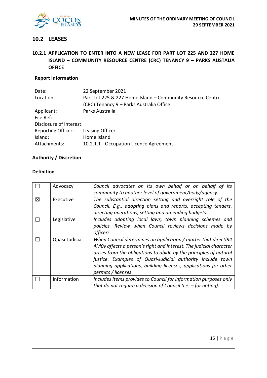

# **10.2 LEASES**

# **10.2.1 APPLICATION TO ENTER INTO A NEW LEASE FOR PART LOT 225 AND 227 HOME ISLAND – COMMUNITY RESOURCE CENTRE (CRC) TENANCY 9 – PARKS AUSTALIA OFFICE**

## **Report Information**

| Date:                     | 22 September 2021                                          |
|---------------------------|------------------------------------------------------------|
| Location:                 | Part Lot 225 & 227 Home Island - Community Resource Centre |
|                           | (CRC) Tenancy 9 - Parks Australia Office                   |
| Applicant:                | Parks Australia                                            |
| File Ref:                 |                                                            |
| Disclosure of Interest:   |                                                            |
| <b>Reporting Officer:</b> | Leasing Officer                                            |
| Island:                   | Home Island                                                |
| Attachments:              | 10.2.1.1 - Occupation Licence Agreement                    |
|                           |                                                            |

#### **Authority / Discretion**

#### **Definition**

|             | Advocacy       | Council advocates on its own behalf or on behalf of its<br>community to another level of government/body/agency.                                                                                                                                                                                                                                                   |
|-------------|----------------|--------------------------------------------------------------------------------------------------------------------------------------------------------------------------------------------------------------------------------------------------------------------------------------------------------------------------------------------------------------------|
| $\boxtimes$ | Executive      | The substantial direction setting and oversight role of the<br>Council. E.g., adopting plans and reports, accepting tenders,<br>directing operations, setting and amending budgets.                                                                                                                                                                                |
|             | Legislative    | Includes adopting local laws, town planning schemes and<br>policies. Review when Council reviews decisions made by<br>officers.                                                                                                                                                                                                                                    |
|             | Quasi-Judicial | When Council determines an application / matter that directlR4<br>4MOy affects a person's right and interest. The judicial character<br>arises from the obligations to abide by the principles of natural<br>justice. Examples of Quasi-Judicial authority include town<br>planning applications, building licenses, applications for other<br>permits / licenses. |
|             | Information    | Includes items provides to Council for information purposes only<br>that do not require a decision of Council (i.e. $-$ for noting).                                                                                                                                                                                                                               |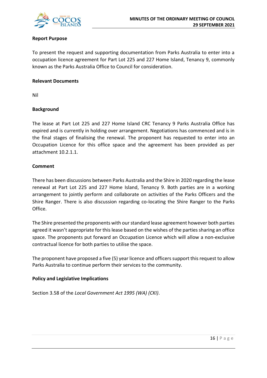

#### **Report Purpose**

To present the request and supporting documentation from Parks Australia to enter into a occupation licence agreement for Part Lot 225 and 227 Home Island, Tenancy 9, commonly known as the Parks Australia Office to Council for consideration.

#### **Relevant Documents**

Nil

### **Background**

The lease at Part Lot 225 and 227 Home Island CRC Tenancy 9 Parks Australia Office has expired and is currently in holding over arrangement. Negotiations has commenced and is in the final stages of finalising the renewal. The proponent has requested to enter into an Occupation Licence for this office space and the agreement has been provided as per attachment 10.2.1.1.

#### **Comment**

There has been discussions between Parks Australia and the Shire in 2020 regarding the lease renewal at Part Lot 225 and 227 Home Island, Tenancy 9. Both parties are in a working arrangement to jointly perform and collaborate on activities of the Parks Officers and the Shire Ranger. There is also discussion regarding co-locating the Shire Ranger to the Parks Office.

The Shire presented the proponents with our standard lease agreement however both parties agreed it wasn't appropriate for this lease based on the wishes of the parties sharing an office space. The proponents put forward an Occupation Licence which will allow a non-exclusive contractual licence for both parties to utilise the space.

The proponent have proposed a five (5) year licence and officers support this request to allow Parks Australia to continue perform their services to the community.

### **Policy and Legislative Implications**

Section 3.58 of the *Local Government Act 1995 (WA) (CKI)*.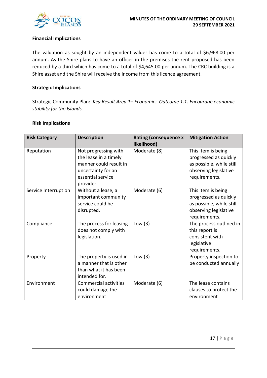

#### **Financial Implications**

The valuation as sought by an independent valuer has come to a total of \$6,968.00 per annum. As the Shire plans to have an officer in the premises the rent proposed has been reduced by a third which has come to a total of \$4,645.00 per annum. The CRC building is a Shire asset and the Shire will receive the income from this licence agreement.

#### **Strategic Implications**

Strategic Community Plan: *Key Result Area 1– Economic: Outcome 1.1. Encourage economic stability for the Islands.*

#### **Risk Implications**

| <b>Risk Category</b> | <b>Description</b>                                                                                                             | <b>Rating (consequence x</b><br>likelihood) | <b>Mitigation Action</b>                                                                                          |
|----------------------|--------------------------------------------------------------------------------------------------------------------------------|---------------------------------------------|-------------------------------------------------------------------------------------------------------------------|
| Reputation           | Not progressing with<br>the lease in a timely<br>manner could result in<br>uncertainty for an<br>essential service<br>provider | Moderate (8)                                | This item is being<br>progressed as quickly<br>as possible, while still<br>observing legislative<br>requirements. |
| Service Interruption | Without a lease, a<br>important community<br>service could be<br>disrupted.                                                    | Moderate (6)                                | This item is being<br>progressed as quickly<br>as possible, while still<br>observing legislative<br>requirements. |
| Compliance           | The process for leasing<br>does not comply with<br>legislation.                                                                | Low $(3)$                                   | The process outlined in<br>this report is<br>consistent with<br>legislative<br>requirements.                      |
| Property             | The property is used in<br>a manner that is other<br>than what it has been<br>intended for.                                    | Low $(3)$                                   | Property inspection to<br>be conducted annually                                                                   |
| Environment          | Commercial activities<br>could damage the<br>environment                                                                       | Moderate (6)                                | The lease contains<br>clauses to protect the<br>environment                                                       |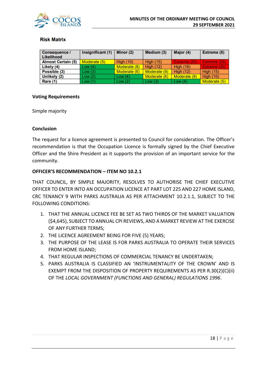

#### **Risk Matrix**

| Consequence /<br>Likelihood | Insignificant (1) | Minor (2)    | Medium (3)       | Major (4)        | <b>Extreme (5)</b> |
|-----------------------------|-------------------|--------------|------------------|------------------|--------------------|
| <b>Almost Certain (5)</b>   | Moderate (5)      | High $(10)$  | <b>High (15)</b> | Extreme (20)     | Extreme (25)       |
| Likely (4)                  | Low(4)            | Moderate (8) | <b>High (12)</b> | <b>High (16)</b> | Extreme (20)       |
| Possible (3)                | Low(3)            | Moderate (6) | Moderate (9)     | <b>High (12)</b> | <b>High (15)</b>   |
| Unlikely (2)                | Low(2)            | Low $(4)$    | Moderate (6)     | Moderate (8)     | <b>High (10)</b>   |
| Rare (1)                    | Low(1)            | Low $(2)$    | Low $(3)$        | Low $(4)$        | Moderate (5)       |

#### **Voting Requirements**

Simple majority

#### **Conclusion**

The request for a licence agreement is presented to Council for consideration. The Officer's recommendation is that the Occupation Licence is formally signed by the Chief Executive Officer and the Shire President as it supports the provision of an important service for the community.

#### **OFFICER'S RECOMMENDATION – ITEM NO 10.2.1**

THAT COUNCIL, BY SIMPLE MAJORITY, RESOLVES TO AUTHORISE THE CHIEF EXECUTIVE OFFICER TO ENTER INTO AN OCCUPATION LICENCE AT PART LOT 225 AND 227 HOME ISLAND, CRC TENANCY 9 WITH PARKS AUSTRALIA AS PER ATTACHMENT 10.2.1.1, SUBJECT TO THE FOLLOWING CONDITIONS:

- 1. THAT THE ANNUAL LICENCE FEE BE SET AS TWO THIRDS OF THE MARKET VALUATION (\$4,645), SUBJECT TO ANNUAL CPI REVIEWS, AND A MARKET REVIEW AT THE EXERCISE OF ANY FURTHER TERMS;
- 2. THE LICENCE AGREEMENT BEING FOR FIVE (5) YEARS;
- 3. THE PURPOSE OF THE LEASE IS FOR PARKS AUSTRALIA TO OPERATE THEIR SERVICES FROM HOME ISLAND;
- 4. THAT REGULAR INSPECTIONS OF COMMERCIAL TENANCY BE UNDERTAKEN;
- 5. PARKS AUSTRALIA IS CLASSIFIED AN 'INSTRUMENTALITY OF THE CROWN' AND IS EXEMPT FROM THE DISPOSITION OF PROPERTY REQUIREMENTS AS PER R.30(2)(C)(ii) OF THE *LOCAL GOVERNMENT (FUNCTIONS AND GENERAL) REGULATIONS 1996*.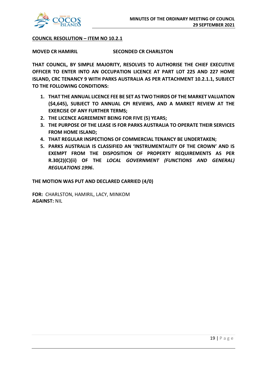

#### **COUNCIL RESOLUTION – ITEM NO 10.2.1**

**MOVED CR HAMIRIL SECONDED CR CHARLSTON**

**THAT COUNCIL, BY SIMPLE MAJORITY, RESOLVES TO AUTHORISE THE CHIEF EXECUTIVE OFFICER TO ENTER INTO AN OCCUPATION LICENCE AT PART LOT 225 AND 227 HOME ISLAND, CRC TENANCY 9 WITH PARKS AUSTRALIA AS PER ATTACHMENT 10.2.1.1, SUBJECT TO THE FOLLOWING CONDITIONS:**

- **1. THAT THE ANNUAL LICENCE FEE BE SET AS TWO THIRDS OF THE MARKET VALUATION (\$4,645), SUBJECT TO ANNUAL CPI REVIEWS, AND A MARKET REVIEW AT THE EXERCISE OF ANY FURTHER TERMS;**
- **2. THE LICENCE AGREEMENT BEING FOR FIVE (5) YEARS;**
- **3. THE PURPOSE OF THE LEASE IS FOR PARKS AUSTRALIA TO OPERATE THEIR SERVICES FROM HOME ISLAND;**
- **4. THAT REGULAR INSPECTIONS OF COMMERCIAL TENANCY BE UNDERTAKEN;**
- **5. PARKS AUSTRALIA IS CLASSIFIED AN 'INSTRUMENTALITY OF THE CROWN' AND IS EXEMPT FROM THE DISPOSITION OF PROPERTY REQUIREMENTS AS PER R.30(2)(C)(ii) OF THE** *LOCAL GOVERNMENT (FUNCTIONS AND GENERAL) REGULATIONS 1996***.**

**THE MOTION WAS PUT AND DECLARED CARRIED (4/0)**

**FOR:** CHARLSTON, HAMIRIL, LACY, MINKOM **AGAINST:** NIL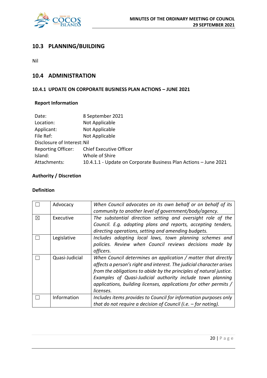

# **10.3 PLANNING/BUILDING**

Nil

### **10.4 ADMINISTRATION**

#### **10.4.1 UPDATE ON CORPORATE BUSINESS PLAN ACTIONS – JUNE 2021**

# **Report Information**

| Date:                       | 8 September 2021                                                 |
|-----------------------------|------------------------------------------------------------------|
| Location:                   | Not Applicable                                                   |
| Applicant:                  | Not Applicable                                                   |
| File Ref:                   | Not Applicable                                                   |
| Disclosure of Interest: Nil |                                                                  |
| <b>Reporting Officer:</b>   | <b>Chief Executive Officer</b>                                   |
| Island:                     | Whole of Shire                                                   |
| Attachments:                | 10.4.1.1 - Update on Corporate Business Plan Actions - June 2021 |

# **Authority / Discretion**

#### **Definition**

|             | Advocacy       | When Council advocates on its own behalf or on behalf of its         |
|-------------|----------------|----------------------------------------------------------------------|
|             |                | community to another level of government/body/agency.                |
| $\boxtimes$ | Executive      | The substantial direction setting and oversight role of the          |
|             |                | Council. E.g. adopting plans and reports, accepting tenders,         |
|             |                | directing operations, setting and amending budgets.                  |
|             | Legislative    | Includes adopting local laws, town planning schemes and              |
|             |                | policies. Review when Council reviews decisions made by              |
|             |                | officers.                                                            |
|             | Quasi-Judicial | When Council determines an application / matter that directly        |
|             |                | affects a person's right and interest. The judicial character arises |
|             |                | from the obligations to abide by the principles of natural justice.  |
|             |                | Examples of Quasi-Judicial authority include town planning           |
|             |                | applications, building licenses, applications for other permits /    |
|             |                | licenses.                                                            |
|             | Information    | Includes items provides to Council for information purposes only     |
|             |                | that do not require a decision of Council (i.e. $-$ for noting).     |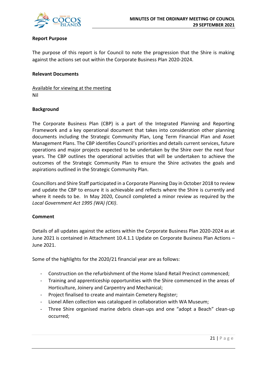

#### **Report Purpose**

The purpose of this report is for Council to note the progression that the Shire is making against the actions set out within the Corporate Business Plan 2020-2024.

#### **Relevant Documents**

Available for viewing at the meeting Nil

#### **Background**

The Corporate Business Plan (CBP) is a part of the Integrated Planning and Reporting Framework and a key operational document that takes into consideration other planning documents including the Strategic Community Plan, Long Term Financial Plan and Asset Management Plans. The CBP identifies Council's priorities and details current services, future operations and major projects expected to be undertaken by the Shire over the next four years. The CBP outlines the operational activities that will be undertaken to achieve the outcomes of the Strategic Community Plan to ensure the Shire activates the goals and aspirations outlined in the Strategic Community Plan.

Councillors and Shire Staff participated in a Corporate Planning Day in October 2018 to review and update the CBP to ensure it is achievable and reflects where the Shire is currently and where it needs to be. In May 2020, Council completed a minor review as required by the *Local Government Act 1995 (WA) (CKI)*.

#### **Comment**

Details of all updates against the actions within the Corporate Business Plan 2020-2024 as at June 2021 is contained in Attachment 10.4.1.1 Update on Corporate Business Plan Actions – June 2021.

Some of the highlights for the 2020/21 financial year are as follows:

- Construction on the refurbishment of the Home Island Retail Precinct commenced;
- Training and apprenticeship opportunities with the Shire commenced in the areas of Horticulture, Joinery and Carpentry and Mechanical;
- Project finalised to create and maintain Cemetery Register;
- Lionel Allen collection was catalogued in collaboration with WA Museum;
- Three Shire organised marine debris clean-ups and one "adopt a Beach" clean-up occurred;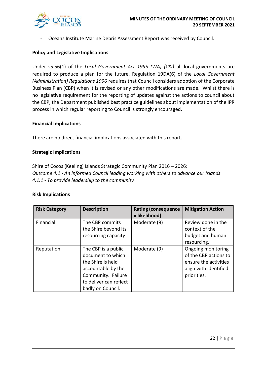

- Oceans Institute Marine Debris Assessment Report was received by Council.

#### **Policy and Legislative Implications**

Under s5.56(1) of the *Local Government Act 1995 (WA) (CKI)* all local governments are required to produce a plan for the future. Regulation 19DA(6) of the *Local Government (Administration) Regulations 1996* requires that Council considers adoption of the Corporate Business Plan (CBP) when it is revised or any other modifications are made. Whilst there is no legislative requirement for the reporting of updates against the actions to council about the CBP, the Department published best practice guidelines about implementation of the IPR process in which regular reporting to Council is strongly encouraged.

#### **Financial Implications**

There are no direct financial implications associated with this report.

#### **Strategic Implications**

Shire of Cocos (Keeling) Islands Strategic Community Plan 2016 – 2026: *Outcome 4.1 - An informed Council leading working with others to advance our Islands 4.1.1 - To provide leadership to the community*

#### **Risk Implications**

| <b>Risk Category</b> | <b>Description</b>                                                                                                                                       | <b>Rating (consequence</b><br>x likelihood) | <b>Mitigation Action</b>                                                                                     |
|----------------------|----------------------------------------------------------------------------------------------------------------------------------------------------------|---------------------------------------------|--------------------------------------------------------------------------------------------------------------|
| Financial            | The CBP commits<br>the Shire beyond its<br>resourcing capacity                                                                                           | Moderate (9)                                | Review done in the<br>context of the<br>budget and human<br>resourcing.                                      |
| Reputation           | The CBP is a public<br>document to which<br>the Shire is held<br>accountable by the<br>Community. Failure<br>to deliver can reflect<br>badly on Council. | Moderate (9)                                | Ongoing monitoring<br>of the CBP actions to<br>ensure the activities<br>align with identified<br>priorities. |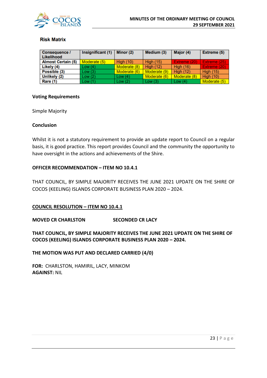

#### **Risk Matrix**

| Consequence /<br>Likelihood | Insignificant (1) | Minor (2)        | Medium (3)       | Major (4)        | Extreme (5)      |
|-----------------------------|-------------------|------------------|------------------|------------------|------------------|
| <b>Almost Certain (5)</b>   | Moderate (5)      | <b>High (10)</b> | <b>High (15)</b> | Extreme (20)     | Extreme (25)     |
| Likely (4)                  | Low(4)            | Moderate (8)     | <b>High (12)</b> | <b>High (16)</b> | Extreme (20)     |
| Possible (3)                | Low(3)            | Moderate (6)     | Moderate (9)     | High $(12)$      | <b>High (15)</b> |
| Unlikely (2)                | Low(2)            | Low(4)           | Moderate (6)     | Moderate (8)     | <b>High (10)</b> |
| Rare (1)                    | Low(1)            | Low $(2)$        | Low $(3)$        | Low $(4)$        | Moderate (5)     |

#### **Voting Requirements**

Simple Majority

#### **Conclusion**

Whilst it is not a statutory requirement to provide an update report to Council on a regular basis, it is good practice. This report provides Council and the community the opportunity to have oversight in the actions and achievements of the Shire.

#### **OFFICER RECOMMENDATION – ITEM NO 10.4.1**

THAT COUNCIL, BY SIMPLE MAJORITY RECEIVES THE JUNE 2021 UPDATE ON THE SHIRE OF COCOS (KEELING) ISLANDS CORPORATE BUSINESS PLAN 2020 – 2024.

#### **COUNCIL RESOLUTION – ITEM NO 10.4.1**

#### **MOVED CR CHARLSTON SECONDED CR LACY**

**THAT COUNCIL, BY SIMPLE MAJORITY RECEIVES THE JUNE 2021 UPDATE ON THE SHIRE OF COCOS (KEELING) ISLANDS CORPORATE BUSINESS PLAN 2020 – 2024.**

**THE MOTION WAS PUT AND DECLARED CARRIED (4/0)**

**FOR:** CHARLSTON, HAMIRIL, LACY, MINKOM **AGAINST:** NIL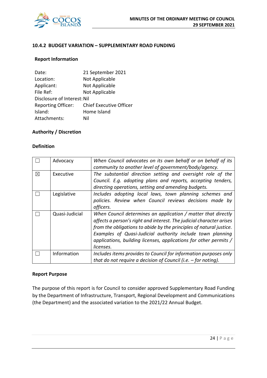

#### **10.4.2 BUDGET VARIATION – SUPPLEMENTARY ROAD FUNDING**

#### **Report Information**

| Date:                       | 21 September 2021              |
|-----------------------------|--------------------------------|
| Location:                   | Not Applicable                 |
| Applicant:                  | Not Applicable                 |
| File Ref:                   | Not Applicable                 |
| Disclosure of Interest: Nil |                                |
| <b>Reporting Officer:</b>   | <b>Chief Executive Officer</b> |
| Island:                     | Home Island                    |
| Attachments:                | Nil                            |

#### **Authority / Discretion**

#### **Definition**

|             | Advocacy       | When Council advocates on its own behalf or on behalf of its<br>community to another level of government/body/agency.                                                                                                                                                                                                                                        |
|-------------|----------------|--------------------------------------------------------------------------------------------------------------------------------------------------------------------------------------------------------------------------------------------------------------------------------------------------------------------------------------------------------------|
| $\boxtimes$ | Executive      | The substantial direction setting and oversight role of the<br>Council. E.g. adopting plans and reports, accepting tenders,<br>directing operations, setting and amending budgets.                                                                                                                                                                           |
|             | Legislative    | Includes adopting local laws, town planning schemes and<br>policies. Review when Council reviews decisions made by<br>officers.                                                                                                                                                                                                                              |
|             | Quasi-Judicial | When Council determines an application / matter that directly<br>affects a person's right and interest. The judicial character arises<br>from the obligations to abide by the principles of natural justice.<br>Examples of Quasi-Judicial authority include town planning<br>applications, building licenses, applications for other permits /<br>licenses. |
|             | Information    | Includes items provides to Council for information purposes only<br>that do not require a decision of Council (i.e. $-$ for noting).                                                                                                                                                                                                                         |

#### **Report Purpose**

The purpose of this report is for Council to consider approved Supplementary Road Funding by the Department of Infrastructure, Transport, Regional Development and Communications (the Department) and the associated variation to the 2021/22 Annual Budget.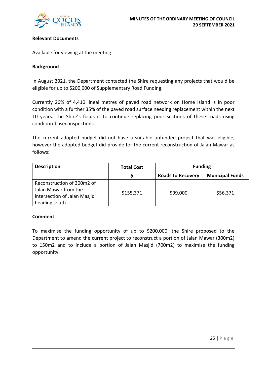

#### **Relevant Documents**

#### Available for viewing at the meeting

#### **Background**

In August 2021, the Department contacted the Shire requesting any projects that would be eligible for up to \$200,000 of Supplementary Road Funding.

Currently 26% of 4,410 lineal metres of paved road network on Home Island is in poor condition with a further 35% of the paved road surface needing replacement within the next 10 years. The Shire's focus is to continue replacing poor sections of these roads using condition-based inspections.

The current adopted budget did not have a suitable unfunded project that was eligible, however the adopted budget did provide for the current reconstruction of Jalan Mawar as follows:

| <b>Description</b>                                                                                  | <b>Total Cost</b> | <b>Funding</b>                                     |          |  |
|-----------------------------------------------------------------------------------------------------|-------------------|----------------------------------------------------|----------|--|
|                                                                                                     |                   | <b>Municipal Funds</b><br><b>Roads to Recovery</b> |          |  |
| Reconstruction of 300m2 of<br>Jalan Mawar from the<br>intersection of Jalan Masjid<br>heading south | \$155,371         | \$99,000                                           | \$56,371 |  |

#### **Comment**

To maximise the funding opportunity of up to \$200,000, the Shire proposed to the Department to amend the current project to reconstruct a portion of Jalan Mawar (300m2) to 150m2 and to include a portion of Jalan Masjid (700m2) to maximise the funding opportunity.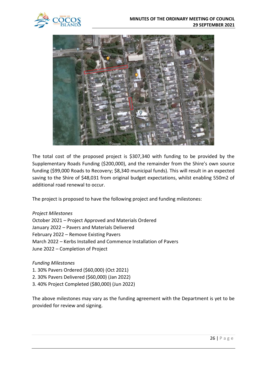



The total cost of the proposed project is \$307,340 with funding to be provided by the Supplementary Roads Funding (\$200,000), and the remainder from the Shire's own source funding (\$99,000 Roads to Recovery; \$8,340 municipal funds). This will result in an expected saving to the Shire of \$48,031 from original budget expectations, whilst enabling 550m2 of additional road renewal to occur.

The project is proposed to have the following project and funding milestones:

*Project Milestones* October 2021 – Project Approved and Materials Ordered January 2022 – Pavers and Materials Delivered February 2022 – Remove Existing Pavers March 2022 – Kerbs Installed and Commence Installation of Pavers June 2022 – Completion of Project

### *Funding Milestones*

- 1. 30% Pavers Ordered (\$60,000) (Oct 2021)
- 2. 30% Pavers Delivered (\$60,000) (Jan 2022)
- 3. 40% Project Completed (\$80,000) (Jun 2022)

The above milestones may vary as the funding agreement with the Department is yet to be provided for review and signing.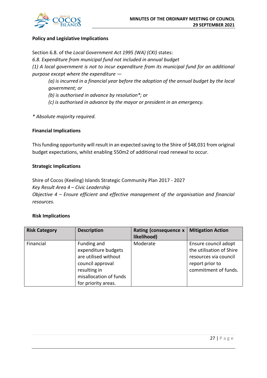

#### **Policy and Legislative Implications**

Section 6.8. of the *Local Government Act 1995 (WA) (CKI)* states: *6.8. Expenditure from municipal fund not included in annual budget (1) A local government is not to incur expenditure from its municipal fund for an additional purpose except where the expenditure — (a) is incurred in a financial year before the adoption of the annual budget by the local government; or (b) is authorised in advance by resolution\*; or* 

*(c) is authorised in advance by the mayor or president in an emergency.* 

*\* Absolute majority required.*

#### **Financial Implications**

This funding opportunity will result in an expected saving to the Shire of \$48,031 from original budget expectations, whilst enabling 550m2 of additional road renewal to occur.

#### **Strategic Implications**

Shire of Cocos (Keeling) Islands Strategic Community Plan 2017 - 2027 *Key Result Area 4 – Civic Leadership Objective 4 – Ensure efficient and effective management of the organisation and financial resources.*

#### **Risk Implications**

| <b>Risk Category</b> | <b>Description</b>                                                                                                                              | Rating (consequence x<br>likelihood) | <b>Mitigation Action</b>                                                                                             |
|----------------------|-------------------------------------------------------------------------------------------------------------------------------------------------|--------------------------------------|----------------------------------------------------------------------------------------------------------------------|
| Financial            | Funding and<br>expenditure budgets<br>are utilised without<br>council approval<br>resulting in<br>misallocation of funds<br>for priority areas. | Moderate                             | Ensure council adopt<br>the utilisation of Shire<br>resources via council<br>report prior to<br>commitment of funds. |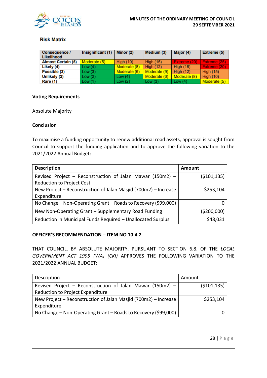

#### **Risk Matrix**

| <b>Consequence /</b><br>Likelihood | Insignificant (1) | Minor (2)        | Medium (3)       | Major (4)        | Extreme (5)      |
|------------------------------------|-------------------|------------------|------------------|------------------|------------------|
| <b>Almost Certain (5)</b>          | Moderate (5)      | <b>High (10)</b> | <b>High (15)</b> | Extreme (20)     | Extreme (25)     |
| Likely (4)                         | Low(4)            | Moderate (8)     | <b>High (12)</b> | <b>High (16)</b> | Extreme (20)     |
| Possible (3)                       | Low(3)            | Moderate (6)     | Moderate (9)     | High $(12)$      | <b>High (15)</b> |
| Unlikely (2)                       | Low(2)            | Low $(4)$        | Moderate (6)     | Moderate (8)     | <b>High (10)</b> |
| Rare (1)                           | Low(1)            | Low $(2)$        | Low $(3)$        | Low $(4)$        | Moderate (5)     |

#### **Voting Requirements**

Absolute Majority

#### **Conclusion**

To maximise a funding opportunity to renew additional road assets, approval is sought from Council to support the funding application and to approve the following variation to the 2021/2022 Annual Budget:

| <b>Description</b>                                              | Amount        |
|-----------------------------------------------------------------|---------------|
| Revised Project - Reconstruction of Jalan Mawar (150m2) -       | ( \$101, 135) |
| <b>Reduction to Project Cost</b>                                |               |
| New Project - Reconstruction of Jalan Masjid (700m2) - Increase | \$253,104     |
| Expenditure                                                     |               |
| No Change - Non-Operating Grant - Roads to Recovery (\$99,000)  |               |
| New Non-Operating Grant – Supplementary Road Funding            | (\$200,000)   |
| Reduction in Municipal Funds Required - Unallocated Surplus     | \$48,031      |

#### **OFFICER'S RECOMMENDATION – ITEM NO 10.4.2**

THAT COUNCIL, BY ABSOLUTE MAJORITY, PURSUANT TO SECTION 6.8. OF THE *LOCAL GOVERNMENT ACT 1995 (WA) (CKI)* APPROVES THE FOLLOWING VARIATION TO THE 2021/2022 ANNUAL BUDGET:

| Description                                                     | Amount        |
|-----------------------------------------------------------------|---------------|
| Revised Project – Reconstruction of Jalan Mawar (150m2) –       | ( \$101, 135) |
| Reduction to Project Expenditure                                |               |
| New Project - Reconstruction of Jalan Masjid (700m2) - Increase | \$253,104     |
| Expenditure                                                     |               |
| No Change – Non-Operating Grant – Roads to Recovery (\$99,000)  |               |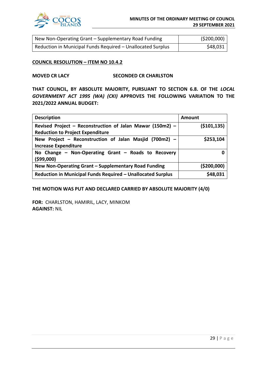

| New Non-Operating Grant – Supplementary Road Funding        | ( \$200,000) |
|-------------------------------------------------------------|--------------|
| Reduction in Municipal Funds Required – Unallocated Surplus | \$48,031     |

#### **COUNCIL RESOLUTION – ITEM NO 10.4.2**

#### **MOVED CR LACY SECONDED CR CHARLSTON**

**THAT COUNCIL, BY ABSOLUTE MAJORITY, PURSUANT TO SECTION 6.8. OF THE** *LOCAL GOVERNMENT ACT 1995 (WA) (CKI)* **APPROVES THE FOLLOWING VARIATION TO THE 2021/2022 ANNUAL BUDGET:**

| <b>Description</b>                                          | <b>Amount</b> |
|-------------------------------------------------------------|---------------|
| Revised Project - Reconstruction of Jalan Mawar (150m2) -   | ( \$101, 135) |
| <b>Reduction to Project Expenditure</b>                     |               |
| New Project - Reconstruction of Jalan Masjid (700m2) -      | \$253,104     |
| <b>Increase Expenditure</b>                                 |               |
| No Change - Non-Operating Grant - Roads to Recovery         |               |
| (599,000)                                                   |               |
| New Non-Operating Grant - Supplementary Road Funding        | ( \$200,000]  |
| Reduction in Municipal Funds Required - Unallocated Surplus | \$48,031      |

#### **THE MOTION WAS PUT AND DECLARED CARRIED BY ABSOLUTE MAJORITY (4/0)**

**FOR:** CHARLSTON, HAMIRIL, LACY, MINKOM **AGAINST:** NIL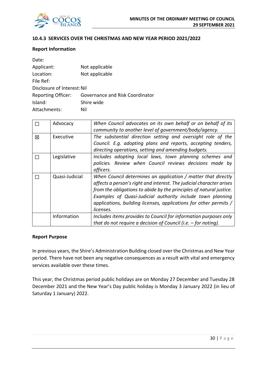

#### **10.4.3 SERVICES OVER THE CHRISTMAS AND NEW YEAR PERIOD 2021/2022**

#### **Report Information**

| Date:                       |                                 |
|-----------------------------|---------------------------------|
| Applicant:                  | Not applicable                  |
| Location:                   | Not applicable                  |
| File Ref:                   |                                 |
| Disclosure of Interest: Nil |                                 |
| <b>Reporting Officer:</b>   | Governance and Risk Coordinator |
| Island:                     | Shire wide                      |
| Attachments:                | Nil                             |

|   | Advocacy       | When Council advocates on its own behalf or on behalf of its                                                                                                                                                                                                                                                                                                 |
|---|----------------|--------------------------------------------------------------------------------------------------------------------------------------------------------------------------------------------------------------------------------------------------------------------------------------------------------------------------------------------------------------|
|   |                | community to another level of government/body/agency.                                                                                                                                                                                                                                                                                                        |
| 冈 | Executive      | The substantial direction setting and oversight role of the                                                                                                                                                                                                                                                                                                  |
|   |                | Council. E.g. adopting plans and reports, accepting tenders,                                                                                                                                                                                                                                                                                                 |
|   |                | directing operations, setting and amending budgets.                                                                                                                                                                                                                                                                                                          |
|   | Legislative    | Includes adopting local laws, town planning schemes and                                                                                                                                                                                                                                                                                                      |
|   |                | policies. Review when Council reviews decisions made by                                                                                                                                                                                                                                                                                                      |
|   |                | officers.                                                                                                                                                                                                                                                                                                                                                    |
|   | Quasi-Judicial | When Council determines an application / matter that directly<br>affects a person's right and interest. The judicial character arises<br>from the obligations to abide by the principles of natural justice.<br>Examples of Quasi-Judicial authority include town planning<br>applications, building licenses, applications for other permits /<br>licenses. |
|   | Information    | Includes items provides to Council for information purposes only<br>that do not require a decision of Council (i.e. $-$ for noting).                                                                                                                                                                                                                         |

#### **Report Purpose**

In previous years, the Shire's Administration Building closed over the Christmas and New Year period. There have not been any negative consequences as a result with vital and emergency services available over these times.

This year, the Christmas period public holidays are on Monday 27 December and Tuesday 28 December 2021 and the New Year's Day public holiday is Monday 3 January 2022 (in lieu of Saturday 1 January) 2022.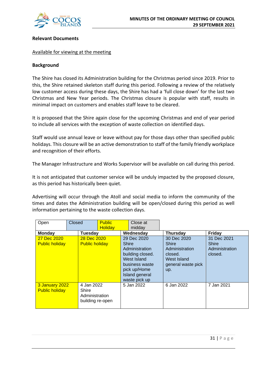

#### **Relevant Documents**

#### Available for viewing at the meeting

#### **Background**

The Shire has closed its Administration building for the Christmas period since 2019. Prior to this, the Shire retained skeleton staff during this period. Following a review of the relatively low customer access during these days, the Shire has had a 'full close down' for the last two Christmas and New Year periods. The Christmas closure is popular with staff, results in minimal impact on customers and enables staff leave to be cleared.

It is proposed that the Shire again close for the upcoming Christmas and end of year period to include all services with the exception of waste collection on identified days.

Staff would use annual leave or leave without pay for those days other than specified public holidays. This closure will be an active demonstration to staff of the family friendly workplace and recognition of their efforts.

The Manager Infrastructure and Works Supervisor will be available on call during this period.

It is not anticipated that customer service will be unduly impacted by the proposed closure, as this period has historically been quiet.

Advertising will occur through the Atoll and social media to inform the community of the times and dates the Administration building will be open/closed during this period as well information pertaining to the waste collection days.

| Open                                                                                                 | Closed |                                      | <b>Public</b><br><b>Holidav</b> |            | Close at<br>midday                                                                                                                    |                                                                                               |                                                   |
|------------------------------------------------------------------------------------------------------|--------|--------------------------------------|---------------------------------|------------|---------------------------------------------------------------------------------------------------------------------------------------|-----------------------------------------------------------------------------------------------|---------------------------------------------------|
| <b>Monday</b>                                                                                        |        | <b>Tuesdav</b>                       |                                 |            | Wednesday                                                                                                                             | <b>Thursday</b>                                                                               | <b>Friday</b>                                     |
| 27 Dec 2020<br><b>Public holiday</b>                                                                 |        | 28 Dec 2020<br><b>Public holiday</b> |                                 | Shire      | 29 Dec 2020<br>Administration<br>building closed.<br>West Island<br>business waste<br>pick up/Home<br>Island general<br>waste pick up | 30 Dec 2020<br>Shire<br>Administration<br>closed.<br>West Island<br>general waste pick<br>up. | 31 Dec 2021<br>Shire<br>Administration<br>closed. |
| 3 January 2022<br>4 Jan 2022<br><b>Public holiday</b><br>Shire<br>Administration<br>building re-open |        |                                      |                                 | 5 Jan 2022 | 6 Jan 2022                                                                                                                            | 7 Jan 2021                                                                                    |                                                   |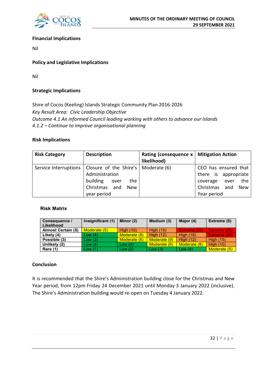

#### **Financial Implications**

Nil

#### **Policy and Legislative Implications**

Nil

#### **Strategic Implications**

Shire of Cocos (Keeling) Islands Strategic Community Plan 2016-2026 *Key Result Area: Civic Leadership Objective Outcome 4.1 An informed Council leading working with others to advance our Islands 4.1.2 – Continue to improve organisational planning*

#### **Risk Implications**

| <b>Risk Category</b>  | <b>Description</b>                                                                                                                 | Rating (consequence x   Mitigation Action<br>likelihood) |                                                                                                                          |
|-----------------------|------------------------------------------------------------------------------------------------------------------------------------|----------------------------------------------------------|--------------------------------------------------------------------------------------------------------------------------|
| Service Interruptions | Closure of the Shire's   Moderate $(6)$<br>Administration<br>building<br>the<br>over<br>Christmas and<br><b>New</b><br>year period |                                                          | CEO has ensured that<br>there is appropriate<br>the<br>coverage<br>over<br>Christmas<br>and<br><b>New</b><br>Year period |

#### **Risk Matrix**

| <b>Consequence /</b><br>Likelihood | Insignificant (1) | Minor (2)        | Medium (3)       | Major (4)        | Extreme (5)      |
|------------------------------------|-------------------|------------------|------------------|------------------|------------------|
| <b>Almost Certain (5)</b>          | Moderate (5)      | <b>High (10)</b> | <b>High (15)</b> | Extreme (20)     | Extreme (25)     |
| Likely (4)                         | Low (4)           | Moderate (8)     | <b>High (12)</b> | <b>High (16)</b> | Extreme (20)     |
| Possible (3)                       | Low (3)           | Moderate (6)     | Moderate (9)     | <b>High (12)</b> | <b>High (15)</b> |
| Unlikely (2)                       | Low (2)           | Low $(4)$        | Moderate (6)     | Moderate (8)     | <b>High (10)</b> |
| <b>Rare (1)</b>                    | Low (1)           | Low(2)           | Low(3)           | Low $(4)$        | Moderate (5)     |

#### **Conclusion**

It is recommended that the Shire's Administration building close for the Christmas and New Year period, from 12pm Friday 24 December 2021 until Monday 3 January 2022 (inclusive). The Shire's Administration building would re-open on Tuesday 4 January 2022.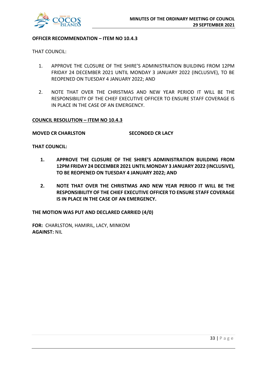

#### **OFFICER RECOMMENDATION – ITEM NO 10.4.3**

THAT COUNCIL:

- 1. APPROVE THE CLOSURE OF THE SHIRE'S ADMINISTRATION BUILDING FROM 12PM FRIDAY 24 DECEMBER 2021 UNTIL MONDAY 3 JANUARY 2022 (INCLUSIVE), TO BE REOPENED ON TUESDAY 4 JANUARY 2022; AND
- 2. NOTE THAT OVER THE CHRISTMAS AND NEW YEAR PERIOD IT WILL BE THE RESPONSIBILITY OF THE CHIEF EXECUTIVE OFFICER TO ENSURE STAFF COVERAGE IS IN PLACE IN THE CASE OF AN EMERGENCY.

#### **COUNCIL RESOLUTION – ITEM NO 10.4.3**

**MOVED CR CHARLSTON SECONDED CR LACY**

**THAT COUNCIL:**

- **1. APPROVE THE CLOSURE OF THE SHIRE'S ADMINISTRATION BUILDING FROM 12PM FRIDAY 24 DECEMBER 2021 UNTIL MONDAY 3 JANUARY 2022 (INCLUSIVE), TO BE REOPENED ON TUESDAY 4 JANUARY 2022; AND**
- **2. NOTE THAT OVER THE CHRISTMAS AND NEW YEAR PERIOD IT WILL BE THE RESPONSIBILITY OF THE CHIEF EXECUTIVE OFFICER TO ENSURE STAFF COVERAGE IS IN PLACE IN THE CASE OF AN EMERGENCY.**

**THE MOTION WAS PUT AND DECLARED CARRIED (4/0)**

**FOR:** CHARLSTON, HAMIRIL, LACY, MINKOM **AGAINST:** NIL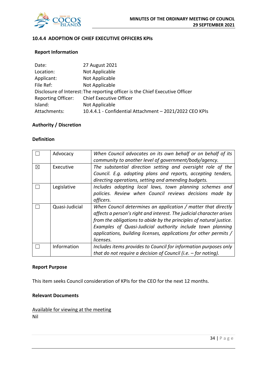

#### **10.4.4 ADOPTION OF CHIEF EXECUTIVE OFFICERS KPIs**

#### **Report Information**

| Date:        | 27 August 2021                                                               |
|--------------|------------------------------------------------------------------------------|
| Location:    | Not Applicable                                                               |
| Applicant:   | Not Applicable                                                               |
| File Ref:    | Not Applicable                                                               |
|              | Disclosure of Interest: The reporting officer is the Chief Executive Officer |
|              | Reporting Officer: Chief Executive Officer                                   |
| Island:      | Not Applicable                                                               |
| Attachments: | 10.4.4.1 - Confidential Attachment - 2021/2022 CEO KPIs                      |

#### **Authority / Discretion**

#### **Definition**

|   | Advocacy       | When Council advocates on its own behalf or on behalf of its         |
|---|----------------|----------------------------------------------------------------------|
|   |                | community to another level of government/body/agency.                |
| X | Executive      | The substantial direction setting and oversight role of the          |
|   |                | Council. E.g. adopting plans and reports, accepting tenders,         |
|   |                | directing operations, setting and amending budgets.                  |
|   | Legislative    | Includes adopting local laws, town planning schemes and              |
|   |                | policies. Review when Council reviews decisions made by              |
|   |                | officers.                                                            |
|   | Quasi-Judicial | When Council determines an application / matter that directly        |
|   |                | affects a person's right and interest. The judicial character arises |
|   |                | from the obligations to abide by the principles of natural justice.  |
|   |                | Examples of Quasi-Judicial authority include town planning           |
|   |                | applications, building licenses, applications for other permits /    |
|   |                | licenses.                                                            |
|   | Information    | Includes items provides to Council for information purposes only     |
|   |                | that do not require a decision of Council (i.e. $-$ for noting).     |

#### **Report Purpose**

This item seeks Council consideration of KPIs for the CEO for the next 12 months.

#### **Relevant Documents**

Available for viewing at the meeting Nil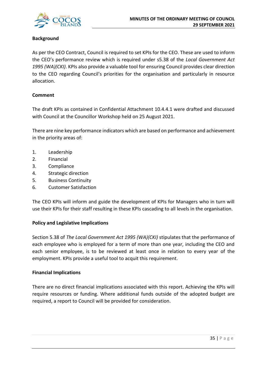

#### **Background**

As per the CEO Contract, Council is required to set KPIs for the CEO. These are used to inform the CEO's performance review which is required under s5.38 of the *Local Government Act 1995 (WA)(CKI)*. KPIs also provide a valuable tool for ensuring Council provides clear direction to the CEO regarding Council's priorities for the organisation and particularly in resource allocation.

#### **Comment**

The draft KPIs as contained in Confidential Attachment 10.4.4.1 were drafted and discussed with Council at the Councillor Workshop held on 25 August 2021.

There are nine key performance indicators which are based on performance and achievement in the priority areas of:

- 1. Leadership
- 2. Financial
- 3. Compliance
- 4. Strategic direction
- 5. Business Continuity
- 6. Customer Satisfaction

The CEO KPIs will inform and guide the development of KPIs for Managers who in turn will use their KPIs for their staff resulting in these KPIs cascading to all levels in the organisation.

#### **Policy and Legislative Implications**

Section 5.38 of *The Local Government Act 1995 (WA)(CKI)* stipulates that the performance of each employee who is employed for a term of more than one year, including the CEO and each senior employee, is to be reviewed at least once in relation to every year of the employment. KPIs provide a useful tool to acquit this requirement.

#### **Financial Implications**

There are no direct financial implications associated with this report. Achieving the KPIs will require resources or funding. Where additional funds outside of the adopted budget are required, a report to Council will be provided for consideration.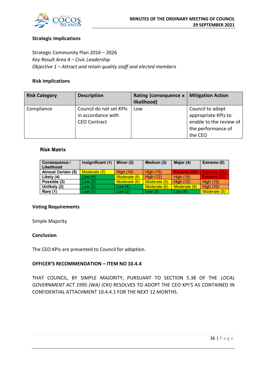

#### **Strategic Implications**

Strategic Community Plan 2016 – 2026 *Key Result Area 4 – Civic Leadership Objective 1 – Attract and retain quality staff and elected members*

#### **Risk Implications**

| <b>Risk Category</b> | <b>Description</b>                                                   | Rating (consequence x<br>likelihood) | <b>Mitigation Action</b>                                                                            |
|----------------------|----------------------------------------------------------------------|--------------------------------------|-----------------------------------------------------------------------------------------------------|
| Compliance           | Council do not set KPIs<br>in accordance with<br><b>CEO Contract</b> | Low                                  | Council to adopt<br>appropriate KPIs to<br>enable to the review of<br>the performance of<br>the CEO |

#### **Risk Matrix**

| Consequence /<br>Likelihood | Insignificant (1) | Minor (2)        | Medium (3)       | Major (4)        | Extreme (5)      |
|-----------------------------|-------------------|------------------|------------------|------------------|------------------|
| <b>Almost Certain (5)</b>   | Moderate (5)      | <b>High (10)</b> | <b>High (15)</b> | Extreme (20)     | Extreme (25).    |
| Likely (4)                  | Low(4)            | Moderate (8)     | <b>High (12)</b> | <b>High (16)</b> | Extreme (20)     |
| Possible (3)                | Low(3)            | Moderate (6)     | Moderate (9)     | <b>High (12)</b> | <b>High (15)</b> |
| Unlikely (2)                | Low(2)            | Low $(4)$        | Moderate (6)     | Moderate (8)     | <b>High (10)</b> |
| Rare (1)                    | Low(1)            | Low $(2)$        | Low $(3)$        | Low $(4)$        | Moderate (5)     |

#### **Voting Requirements**

Simple Majority

#### **Conclusion**

The CEO KPIs are presented to Council for adoption.

#### **OFFICER'S RECOMMENDATION – ITEM NO 10.4.4**

THAT COUNCIL, BY SIMPLE MAJORITY, PURSUANT TO SECTION 5.38 OF THE *LOCAL GOVERNMENT ACT 1995 (WA) (CKI)* RESOLVES TO ADOPT THE CEO KPI'S AS CONTAINED IN CONFIDENTIAL ATTACHMENT 10.4.4.1 FOR THE NEXT 12 MONTHS.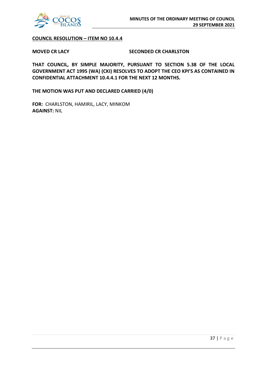

**COUNCIL RESOLUTION – ITEM NO 10.4.4**

#### **MOVED CR LACY SECONDED CR CHARLSTON**

**THAT COUNCIL, BY SIMPLE MAJORITY, PURSUANT TO SECTION 5.38 OF THE LOCAL GOVERNMENT ACT 1995 (WA) (CKI) RESOLVES TO ADOPT THE CEO KPI'S AS CONTAINED IN CONFIDENTIAL ATTACHMENT 10.4.4.1 FOR THE NEXT 12 MONTHS.**

**THE MOTION WAS PUT AND DECLARED CARRIED (4/0)**

**FOR:** CHARLSTON, HAMIRIL, LACY, MINKOM **AGAINST:** NIL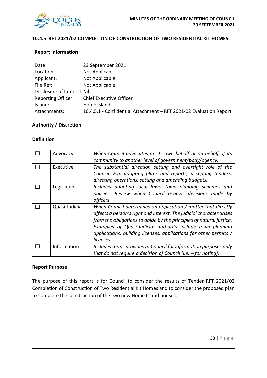

#### **10.4.5 RFT 2021/02 COMPLETION OF CONSTRUCTION OF TWO RESIDENTIAL KIT HOMES**

#### **Report Information**

| Date:                       | 23 September 2021                                                  |
|-----------------------------|--------------------------------------------------------------------|
| Location:                   | Not Applicable                                                     |
| Applicant:                  | Not Applicable                                                     |
| File Ref:                   | Not Applicable                                                     |
| Disclosure of Interest: Nil |                                                                    |
| <b>Reporting Officer:</b>   | <b>Chief Executive Officer</b>                                     |
| Island:                     | Home Island                                                        |
| Attachments:                | 10.4.5.1 - Confidential Attachment - RFT 2021-02 Evaluation Report |

#### **Authority / Discretion**

#### **Definition**

|   | Advocacy       | When Council advocates on its own behalf or on behalf of its<br>community to another level of government/body/agency. |
|---|----------------|-----------------------------------------------------------------------------------------------------------------------|
|   |                |                                                                                                                       |
| X | Executive      | The substantial direction setting and oversight role of the                                                           |
|   |                | Council. E.g. adopting plans and reports, accepting tenders,                                                          |
|   |                | directing operations, setting and amending budgets.                                                                   |
|   | Legislative    | Includes adopting local laws, town planning schemes and                                                               |
|   |                | policies. Review when Council reviews decisions made by                                                               |
|   |                | officers.                                                                                                             |
|   | Quasi-Judicial | When Council determines an application / matter that directly                                                         |
|   |                | affects a person's right and interest. The judicial character arises                                                  |
|   |                | from the obligations to abide by the principles of natural justice.                                                   |
|   |                | Examples of Quasi-Judicial authority include town planning                                                            |
|   |                | applications, building licenses, applications for other permits /                                                     |
|   |                | licenses.                                                                                                             |
|   | Information    | Includes items provides to Council for information purposes only                                                      |
|   |                | that do not require a decision of Council (i.e. $-$ for noting).                                                      |

#### **Report Purpose**

The purpose of this report is for Council to consider the results of Tender RFT 2021/02 Completion of Construction of Two Residential Kit Homes and to consider the proposed plan to complete the construction of the two new Home Island houses.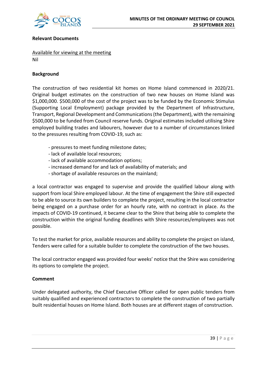

#### **Relevant Documents**

Available for viewing at the meeting

Nil

#### **Background**

The construction of two residential kit homes on Home Island commenced in 2020/21. Original budget estimates on the construction of two new houses on Home Island was \$1,000,000. \$500,000 of the cost of the project was to be funded by the Economic Stimulus (Supporting Local Employment) package provided by the Department of Infrastructure, Transport, Regional Development and Communications (the Department), with the remaining \$500,000 to be funded from Council reserve funds. Original estimates included utilising Shire employed building trades and labourers, however due to a number of circumstances linked to the pressures resulting from COVID-19, such as:

- pressures to meet funding milestone dates;
- lack of available local resources;
- lack of available accommodation options;
- increased demand for and lack of availability of materials; and
- shortage of available resources on the mainland;

a local contractor was engaged to supervise and provide the qualified labour along with support from local Shire employed labour. At the time of engagement the Shire still expected to be able to source its own builders to complete the project, resulting in the local contractor being engaged on a purchase order for an hourly rate, with no contract in place. As the impacts of COVID-19 continued, it became clear to the Shire that being able to complete the construction within the original funding deadlines with Shire resources/employees was not possible.

To test the market for price, available resources and ability to complete the project on island, Tenders were called for a suitable builder to complete the construction of the two houses.

The local contractor engaged was provided four weeks' notice that the Shire was considering its options to complete the project.

#### **Comment**

Under delegated authority, the Chief Executive Officer called for open public tenders from suitably qualified and experienced contractors to complete the construction of two partially built residential houses on Home Island. Both houses are at different stages of construction.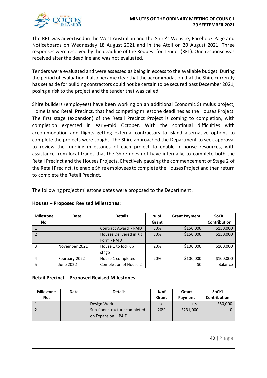

The RFT was advertised in the West Australian and the Shire's Website, Facebook Page and Noticeboards on Wednesday 18 August 2021 and in the Atoll on 20 August 2021. Three responses were received by the deadline of the Request for Tender (RFT). One response was received after the deadline and was not evaluated.

Tenders were evaluated and were assessed as being in excess to the available budget. During the period of evaluation it also became clear that the accommodation that the Shire currently has set aside for building contractors could not be certain to be secured past December 2021, posing a risk to the project and the tender that was called.

Shire builders (employees) have been working on an additional Economic Stimulus project, Home Island Retail Precinct, that had competing milestone deadlines as the Houses Project. The first stage (expansion) of the Retail Precinct Project is coming to completion, with completion expected in early-mid October. With the continual difficulties with accommodation and flights getting external contractors to island alternative options to complete the projects were sought. The Shire approached the Department to seek approval to review the funding milestones of each project to enable in-house resources, with assistance from local trades that the Shire does not have internally, to complete both the Retail Precinct and the Houses Projects. Effectively pausing the commencement of Stage 2 of the Retail Precinct, to enable Shire employees to complete the Houses Project and then return to complete the Retail Precinct.

The following project milestone dates were proposed to the Department:

| <b>Milestone</b> | Date          | <b>Details</b>               | % of  | <b>Grant Payment</b> | <b>SoCKI</b>        |
|------------------|---------------|------------------------------|-------|----------------------|---------------------|
| No.              |               |                              | Grant |                      | <b>Contribution</b> |
|                  |               | <b>Contract Award - PAID</b> | 30%   | \$150,000            | \$150,000           |
|                  |               | Houses Delivered in Kit      | 30%   | \$150,000            | \$150,000           |
|                  |               | Form - PAID                  |       |                      |                     |
| 3                | November 2021 | House 1 to lock up           | 20%   | \$100,000            | \$100,000           |
|                  |               | stage                        |       |                      |                     |
| 4                | February 2022 | House 1 completed            | 20%   | \$100,000            | \$100,000           |
|                  | June 2022     | Completion of House 2        |       | \$0                  | Balance             |

#### **Houses – Proposed Revised Milestones:**

#### **Retail Precinct – Proposed Revised Milestones:**

| <b>Milestone</b> | Date | <b>Details</b>                                       | $%$ of | Grant     | <b>SoCKI</b>        |
|------------------|------|------------------------------------------------------|--------|-----------|---------------------|
| No.              |      |                                                      | Grant  | Payment   | <b>Contribution</b> |
|                  |      | Design Work                                          | n/a    | n/a       | \$50,000            |
|                  |      | Sub-floor structure completed<br>on Expansion - PAID | 20%    | \$231,000 |                     |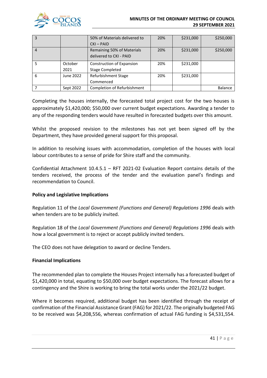

#### **MINUTES OF THE ORDINARY MEETING OF COUNCIL 29 SEPTEMBER 2021**

| 3 |           | 50% of Materials delivered to    | 20% | \$231,000 | \$250,000      |
|---|-----------|----------------------------------|-----|-----------|----------------|
|   |           | $CKI - PAID$                     |     |           |                |
| 4 |           | Remaining 50% of Materials       | 20% | \$231,000 | \$250,000      |
|   |           | delivered to CKI - PAID          |     |           |                |
|   | October   | <b>Construction of Expansion</b> | 20% | \$231,000 |                |
|   | 2021      | <b>Stage Completed</b>           |     |           |                |
| 6 | June 2022 | Refurbishment Stage              | 20% | \$231,000 |                |
|   |           | Commenced                        |     |           |                |
|   | Sept 2022 | Completion of Refurbishment      |     |           | <b>Balance</b> |

Completing the houses internally, the forecasted total project cost for the two houses is approximately \$1,420,000; \$50,000 over current budget expectations. Awarding a tender to any of the responding tenders would have resulted in forecasted budgets over this amount.

Whilst the proposed revision to the milestones has not yet been signed off by the Department, they have provided general support for this proposal.

In addition to resolving issues with accommodation, completion of the houses with local labour contributes to a sense of pride for Shire staff and the community.

Confidential Attachment 10.4.5.1 – RFT 2021-02 Evaluation Report contains details of the tenders received, the process of the tender and the evaluation panel's findings and recommendation to Council.

#### **Policy and Legislative Implications**

Regulation 11 of the *Local Government (Functions and General) Regulations 1996* deals with when tenders are to be publicly invited.

Regulation 18 of the *Local Government (Functions and General) Regulations 1996* deals with how a local government is to reject or accept publicly invited tenders.

The CEO does not have delegation to award or decline Tenders.

#### **Financial Implications**

The recommended plan to complete the Houses Project internally has a forecasted budget of \$1,420,000 in total, equating to \$50,000 over budget expectations. The forecast allows for a contingency and the Shire is working to bring the total works under the 2021/22 budget.

Where it becomes required, additional budget has been identified through the receipt of confirmation of the Financial Assistance Grant (FAG) for 2021/22. The originally budgeted FAG to be received was \$4,208,556, whereas confirmation of actual FAG funding is \$4,531,554.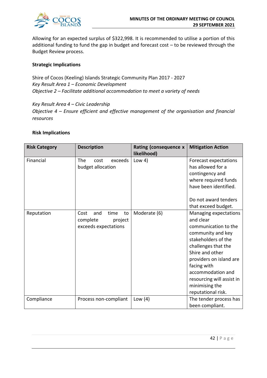

Allowing for an expected surplus of \$322,998. It is recommended to utilise a portion of this additional funding to fund the gap in budget and forecast cost – to be reviewed through the Budget Review process.

#### **Strategic Implications**

Shire of Cocos (Keeling) Islands Strategic Community Plan 2017 - 2027 *Key Result Area 1 – Economic Development Objective 2 – Facilitate additional accommodation to meet a variety of needs*

*Key Result Area 4 – Civic Leadership Objective 4 – Ensure efficient and effective management of the organisation and financial resources*

#### **Risk Implications**

| <b>Risk Category</b> | <b>Description</b>                                                       | <b>Rating (consequence x</b><br>likelihood) | <b>Mitigation Action</b>                                                                                                                                                                                                                                                             |
|----------------------|--------------------------------------------------------------------------|---------------------------------------------|--------------------------------------------------------------------------------------------------------------------------------------------------------------------------------------------------------------------------------------------------------------------------------------|
| Financial            | The<br>exceeds<br>cost<br>budget allocation                              | Low $4)$                                    | Forecast expectations<br>has allowed for a<br>contingency and<br>where required funds<br>have been identified.<br>Do not award tenders                                                                                                                                               |
|                      |                                                                          |                                             | that exceed budget.                                                                                                                                                                                                                                                                  |
| Reputation           | Cost<br>and<br>time<br>to<br>complete<br>project<br>exceeds expectations | Moderate (6)                                | Managing expectations<br>and clear<br>communication to the<br>community and key<br>stakeholders of the<br>challenges that the<br>Shire and other<br>providers on island are<br>facing with<br>accommodation and<br>resourcing will assist in<br>minimising the<br>reputational risk. |
| Compliance           | Process non-compliant                                                    | Low $(4)$                                   | The tender process has<br>been compliant.                                                                                                                                                                                                                                            |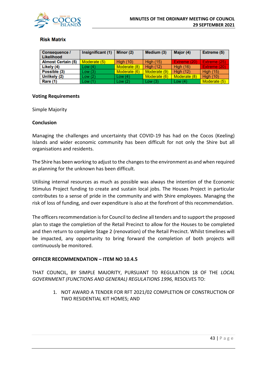

#### **Risk Matrix**

| Consequence /<br>Likelihood | Insignificant (1) | Minor (2)        | Medium (3)       | Major (4)        | <b>Extreme (5)</b> |
|-----------------------------|-------------------|------------------|------------------|------------------|--------------------|
| <b>Almost Certain (5)</b>   | Moderate (5)      | <b>High (10)</b> | <b>High (15)</b> | Extreme (20)     | Extreme (25)       |
| Likely (4)                  | Low(4)            | Moderate (8)     | <b>High (12)</b> | <b>High (16)</b> | Extreme (20)       |
| Possible (3)                | Low(3)            | Moderate (6)     | Moderate (9)     | High $(12)$      | <b>High (15)</b>   |
| Unlikely (2)                | Low(2)            | Low $(4)$        | Moderate (6)     | Moderate (8)     | <b>High (10)</b>   |
| Rare (1)                    | Low(1)            | Low $(2)$        | Low(3)           | Low $(4)$        | Moderate (5)       |

#### **Voting Requirements**

Simple Majority

#### **Conclusion**

Managing the challenges and uncertainty that COVID-19 has had on the Cocos (Keeling) Islands and wider economic community has been difficult for not only the Shire but all organisations and residents.

The Shire has been working to adjust to the changes to the environment as and when required as planning for the unknown has been difficult.

Utilising internal resources as much as possible was always the intention of the Economic Stimulus Project funding to create and sustain local jobs. The Houses Project in particular contributes to a sense of pride in the community and with Shire employees. Managing the risk of loss of funding, and over expenditure is also at the forefront of this recommendation.

The officers recommendation is for Council to decline all tenders and to support the proposed plan to stage the completion of the Retail Precinct to allow for the Houses to be completed and then return to complete Stage 2 (renovation) of the Retail Precinct. Whilst timelines will be impacted, any opportunity to bring forward the completion of both projects will continuously be monitored.

#### **OFFICER RECOMMENDATION – ITEM NO 10.4.5**

THAT COUNCIL, BY SIMPLE MAJORITY, PURSUANT TO REGULATION 18 OF THE *LOCAL GOVERNMENT (FUNCTIONS AND GENERAL) REGULATIONS 1996,* RESOLVES TO:

> 1. NOT AWARD A TENDER FOR RFT 2021/02 COMPLETION OF CONSTRUCTION OF TWO RESIDENTIAL KIT HOMES; AND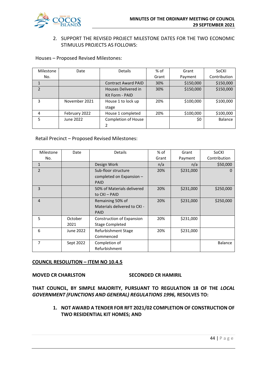

#### 2. SUPPORT THE REVISED PROJECT MILESTONE DATES FOR THE TWO ECONOMIC STIMULUS PROJECTS AS FOLLOWS:

Houses – Proposed Revised Milestones:

| Milestone      | Date          | Details                    | % of  | Grant     | SoCKI        |
|----------------|---------------|----------------------------|-------|-----------|--------------|
| No.            |               |                            | Grant | Payment   | Contribution |
|                |               | <b>Contract Award PAID</b> | 30%   | \$150,000 | \$150,000    |
| $\overline{2}$ |               | Houses Delivered in        | 30%   | \$150,000 | \$150,000    |
|                |               | Kit Form - PAID            |       |           |              |
| 3              | November 2021 | House 1 to lock up         | 20%   | \$100,000 | \$100,000    |
|                |               | stage                      |       |           |              |
| 4              | February 2022 | House 1 completed          | 20%   | \$100,000 | \$100,000    |
| 5              | June 2022     | <b>Completion of House</b> |       | \$0       | Balance      |
|                |               |                            |       |           |              |

#### Retail Precinct – Proposed Revised Milestones:

| Milestone      | Date      | <b>Details</b>               | % of  | Grant     | SoCKI          |
|----------------|-----------|------------------------------|-------|-----------|----------------|
| No.            |           |                              | Grant | Payment   | Contribution   |
| $\mathbf{1}$   |           | Design Work                  | n/a   | n/a       | \$50,000       |
| $\overline{2}$ |           | Sub-floor structure          | 20%   | \$231,000 | $\mathbf{O}$   |
|                |           | completed on Expansion -     |       |           |                |
|                |           | <b>PAID</b>                  |       |           |                |
| 3              |           | 50% of Materials delivered   | 20%   | \$231,000 | \$250,000      |
|                |           | to CKI - PAID                |       |           |                |
| $\overline{4}$ |           | Remaining 50% of             | 20%   | \$231,000 | \$250,000      |
|                |           | Materials delivered to CKI - |       |           |                |
|                |           | <b>PAID</b>                  |       |           |                |
| 5              | October   | Construction of Expansion    | 20%   | \$231,000 |                |
|                | 2021      | <b>Stage Completed</b>       |       |           |                |
| 6              | June 2022 | Refurbishment Stage          | 20%   | \$231,000 |                |
|                |           | Commenced                    |       |           |                |
| 7              | Sept 2022 | Completion of                |       |           | <b>Balance</b> |
|                |           | Refurbishment                |       |           |                |

#### **COUNCIL RESOLUTION – ITEM NO 10.4.5**

#### **MOVED CR CHARLSTON SECONDED CR HAMIRIL**

**THAT COUNCIL, BY SIMPLE MAJORITY, PURSUANT TO REGULATION 18 OF THE** *LOCAL GOVERNMENT (FUNCTIONS AND GENERAL) REGULATIONS 1996,* **RESOLVES TO:**

> **1. NOT AWARD A TENDER FOR RFT 2021/02 COMPLETION OF CONSTRUCTION OF TWO RESIDENTIAL KIT HOMES; AND**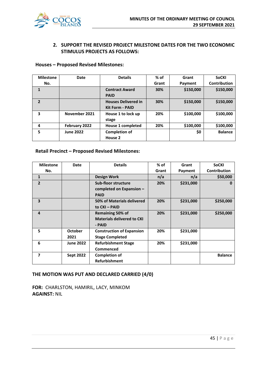

#### **2. SUPPORT THE REVISED PROJECT MILESTONE DATES FOR THE TWO ECONOMIC STIMULUS PROJECTS AS FOLLOWS:**

#### **Houses – Proposed Revised Milestones:**

| <b>Milestone</b> | Date             | <b>Details</b>             | $%$ of | Grant     | <b>SoCKI</b>   |
|------------------|------------------|----------------------------|--------|-----------|----------------|
| No.              |                  |                            | Grant  | Payment   | Contribution   |
| 1                |                  | <b>Contract Award</b>      | 30%    | \$150,000 | \$150,000      |
|                  |                  | <b>PAID</b>                |        |           |                |
| $\overline{2}$   |                  | <b>Houses Delivered in</b> | 30%    | \$150,000 | \$150,000      |
|                  |                  | <b>Kit Form - PAID</b>     |        |           |                |
| 3                | November 2021    | House 1 to lock up         | 20%    | \$100,000 | \$100,000      |
|                  |                  | stage                      |        |           |                |
| 4                | February 2022    | House 1 completed          | 20%    | \$100,000 | \$100,000      |
| 5                | <b>June 2022</b> | <b>Completion of</b>       |        | \$0       | <b>Balance</b> |
|                  |                  | House 2                    |        |           |                |

#### **Retail Precinct – Proposed Revised Milestones:**

| <b>Milestone</b> | Date             | <b>Details</b>                    | $%$ of | Grant     | <b>SoCKI</b>   |
|------------------|------------------|-----------------------------------|--------|-----------|----------------|
| No.              |                  |                                   | Grant  | Payment   | Contribution   |
| $\mathbf{1}$     |                  | <b>Design Work</b>                | n/a    | n/a       | \$50,000       |
| $\mathbf{2}$     |                  | Sub-floor structure               | 20%    | \$231,000 | $\Omega$       |
|                  |                  | completed on Expansion -          |        |           |                |
|                  |                  | <b>PAID</b>                       |        |           |                |
| 3                |                  | 50% of Materials delivered        | 20%    | \$231,000 | \$250,000      |
|                  |                  | to CKI - PAID                     |        |           |                |
| $\overline{a}$   |                  | <b>Remaining 50% of</b>           | 20%    | \$231,000 | \$250,000      |
|                  |                  | <b>Materials delivered to CKI</b> |        |           |                |
|                  |                  | - PAID                            |        |           |                |
| 5                | <b>October</b>   | <b>Construction of Expansion</b>  | 20%    | \$231,000 |                |
|                  | 2021             | <b>Stage Completed</b>            |        |           |                |
| 6                | <b>June 2022</b> | <b>Refurbishment Stage</b>        | 20%    | \$231,000 |                |
|                  |                  | Commenced                         |        |           |                |
| 7                | <b>Sept 2022</b> | <b>Completion of</b>              |        |           | <b>Balance</b> |
|                  |                  | <b>Refurbishment</b>              |        |           |                |

**THE MOTION WAS PUT AND DECLARED CARRIED (4/0)**

**FOR:** CHARLSTON, HAMIRIL, LACY, MINKOM **AGAINST:** NIL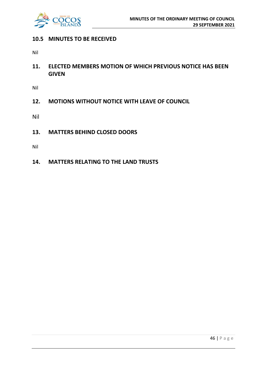

## **10.5 MINUTES TO BE RECEIVED**

Nil

**11. ELECTED MEMBERS MOTION OF WHICH PREVIOUS NOTICE HAS BEEN GIVEN**

Nil

**12. MOTIONS WITHOUT NOTICE WITH LEAVE OF COUNCIL**

Nil

**13. MATTERS BEHIND CLOSED DOORS**

Nil

**14. MATTERS RELATING TO THE LAND TRUSTS**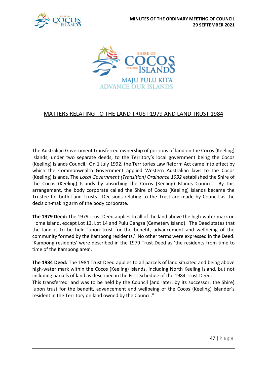



# MATTERS RELATING TO THE LAND TRUST 1979 AND LAND TRUST 1984

The Australian Government transferred ownership of portions of land on the Cocos (Keeling) Islands, under two separate deeds, to the Territory's local government being the Cocos (Keeling) Islands Council. On 1 July 1992, the Territories Law Reform Act came into effect by which the Commonwealth Government applied Western Australian laws to the Cocos (Keeling) Islands. The *Local Government (Transition) Ordinance 1992* established the Shire of the Cocos (Keeling) Islands by absorbing the Cocos (Keeling) Islands Council. By this arrangement, the body corporate called the Shire of Cocos (Keeling) Islands became the Trustee for both Land Trusts. Decisions relating to the Trust are made by Council as the decision-making arm of the body corporate.

**The 1979 Deed:** The 1979 Trust Deed applies to all of the land above the high-water mark on Home Island, except Lot 13, Lot 14 and Pulu Gangsa (Cemetery Island). The Deed states that the land is to be held 'upon trust for the benefit, advancement and wellbeing of the community formed by the Kampong residents.' No other terms were expressed in the Deed. 'Kampong residents' were described in the 1979 Trust Deed as 'the residents from time to time of the Kampong area'.

**The 1984 Deed:** The 1984 Trust Deed applies to all parcels of land situated and being above high-water mark within the Cocos (Keeling) Islands, including North Keeling Island, but not including parcels of land as described in the First Schedule of the 1984 Trust Deed. This transferred land was to be held by the Council (and later, by its successor, the Shire) 'upon trust for the benefit, advancement and wellbeing of the Cocos (Keeling) Islander's resident in the Territory on land owned by the Council."